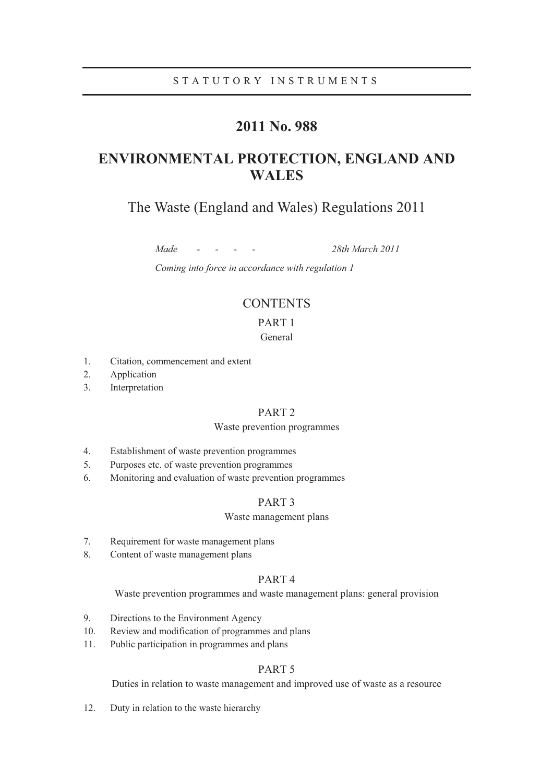# **2011 No. 988**

# **ENVIRONMENTAL PROTECTION, ENGLAND AND WALES**

# The Waste (England and Wales) Regulations 2011

*Made - - - - 28th March 2011* 

*Coming into force in accordance with regulation 1* 

# **CONTENTS**

# PART 1

# General

- 1. Citation, commencement and extent
- 2. Application
- 3. Interpretation

# PART 2

### Waste prevention programmes

- 4. Establishment of waste prevention programmes
- 5. Purposes etc. of waste prevention programmes
- 6. Monitoring and evaluation of waste prevention programmes

# PART 3

#### Waste management plans

- 7. Requirement for waste management plans
- 8. Content of waste management plans

# PART 4

Waste prevention programmes and waste management plans: general provision

- 9. Directions to the Environment Agency
- 10. Review and modification of programmes and plans
- 11. Public participation in programmes and plans

# PART 5

Duties in relation to waste management and improved use of waste as a resource

12. Duty in relation to the waste hierarchy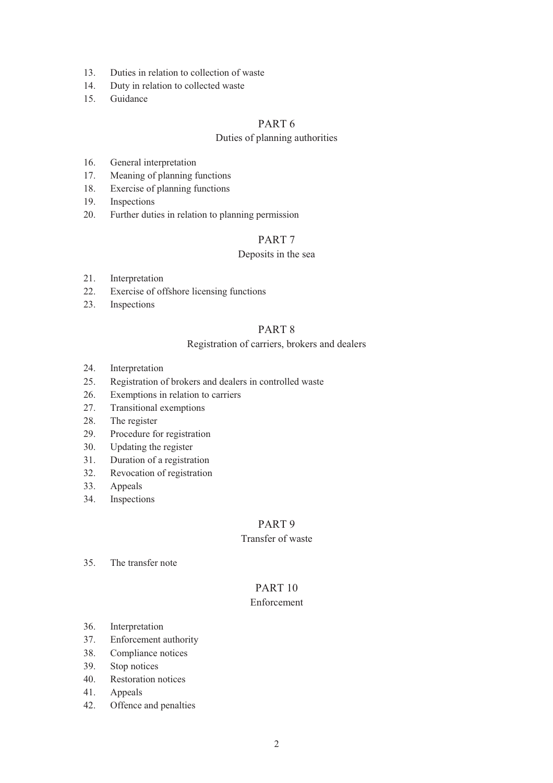- 13. Duties in relation to collection of waste
- 14. Duty in relation to collected waste
- 15. Guidance

# PART 6

# Duties of planning authorities

- 16. General interpretation
- 17. Meaning of planning functions
- 18. Exercise of planning functions
- 19. Inspections
- 20. Further duties in relation to planning permission

# PART 7

# Deposits in the sea

- 21. Interpretation
- 22. Exercise of offshore licensing functions
- 23. Inspections

# PART 8

# Registration of carriers, brokers and dealers

- 24. Interpretation
- 25. Registration of brokers and dealers in controlled waste
- 26. Exemptions in relation to carriers
- 27. Transitional exemptions
- 28. The register
- 29. Procedure for registration
- 30. Updating the register
- 31. Duration of a registration
- 32. Revocation of registration
- 33. Appeals
- 34. Inspections

# PART 9

# Transfer of waste

35. The transfer note

# PART 10

# Enforcement

- 36. Interpretation
- 37. Enforcement authority
- 38. Compliance notices
- 39. Stop notices
- 40. Restoration notices
- 41. Appeals
- 42. Offence and penalties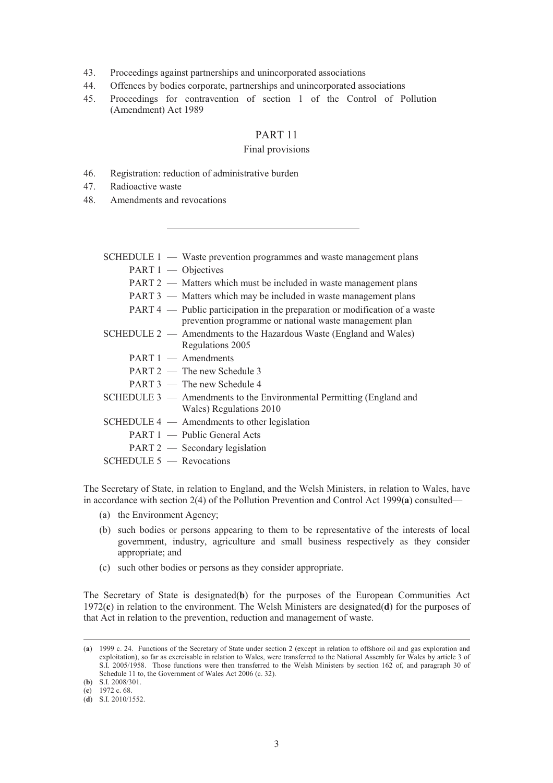- 43. Proceedings against partnerships and unincorporated associations
- 44. Offences by bodies corporate, partnerships and unincorporated associations
- 45. Proceedings for contravention of section 1 of the Control of Pollution (Amendment) Act 1989

# PART 11

### Final provisions

- 46. Registration: reduction of administrative burden
- 47. Radioactive waste
- 48. Amendments and revocations

|                     | SCHEDULE 1 — Waste prevention programmes and waste management plans                                                                     |
|---------------------|-----------------------------------------------------------------------------------------------------------------------------------------|
| PART 1 — Objectives |                                                                                                                                         |
|                     | PART 2 — Matters which must be included in waste management plans                                                                       |
|                     | PART 3 — Matters which may be included in waste management plans                                                                        |
|                     | $PART 4$ — Public participation in the preparation or modification of a waste<br>prevention programme or national waste management plan |
|                     | $SCHEDULE 2$ — Amendments to the Hazardous Waste (England and Wales)<br>Regulations 2005                                                |
|                     | $PART 1$ - Amendments                                                                                                                   |
|                     | $PART 2$ — The new Schedule 3                                                                                                           |
|                     | PART 3 — The new Schedule 4                                                                                                             |
|                     | SCHEDULE 3 — Amendments to the Environmental Permitting (England and<br>Wales) Regulations 2010                                         |
|                     | $SCHEDULE 4$ - Amendments to other legislation                                                                                          |
|                     | PART 1 — Public General Acts                                                                                                            |
|                     | PART 2 — Secondary legislation                                                                                                          |

SCHEDULE 5 — Revocations

The Secretary of State, in relation to England, and the Welsh Ministers, in relation to Wales, have in accordance with section 2(4) of the Pollution Prevention and Control Act 1999(**a**) consulted—

- (a) the Environment Agency;
- (b) such bodies or persons appearing to them to be representative of the interests of local government, industry, agriculture and small business respectively as they consider appropriate; and
- (c) such other bodies or persons as they consider appropriate.

The Secretary of State is designated(**b**) for the purposes of the European Communities Act 1972(**c**) in relation to the environment. The Welsh Ministers are designated(**d**) for the purposes of that Act in relation to the prevention, reduction and management of waste.

 <sup>(</sup>**a**) 1999 c. 24. Functions of the Secretary of State under section 2 (except in relation to offshore oil and gas exploration and exploitation), so far as exercisable in relation to Wales, were transferred to the National Assembly for Wales by article 3 of S.I. 2005/1958. Those functions were then transferred to the Welsh Ministers by section 162 of, and paragraph 30 of Schedule 11 to, the Government of Wales Act 2006 (c. 32).

<sup>(</sup>**b**) S.I. 2008/301.

<sup>(</sup>**c**) 1972 c. 68.

<sup>(</sup>**d**) S.I. 2010/1552.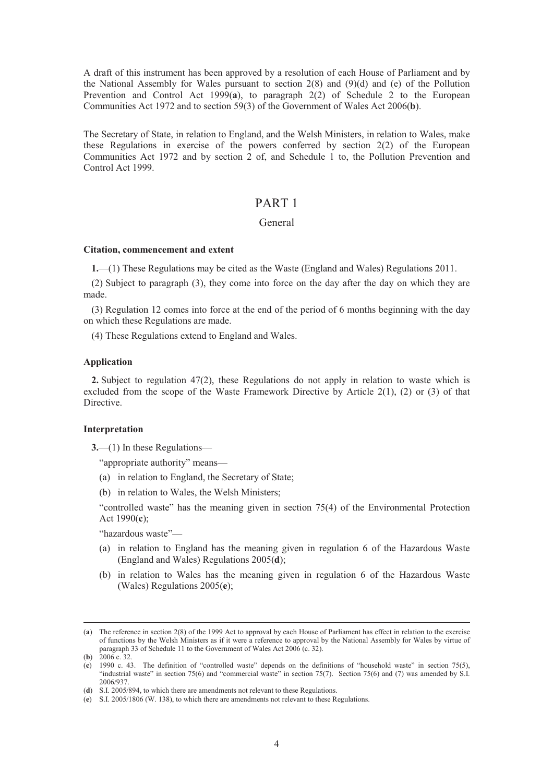A draft of this instrument has been approved by a resolution of each House of Parliament and by the National Assembly for Wales pursuant to section  $2(8)$  and  $(9)(d)$  and (e) of the Pollution Prevention and Control Act 1999(**a**), to paragraph 2(2) of Schedule 2 to the European Communities Act 1972 and to section 59(3) of the Government of Wales Act 2006(**b**).

The Secretary of State, in relation to England, and the Welsh Ministers, in relation to Wales, make these Regulations in exercise of the powers conferred by section 2(2) of the European Communities Act 1972 and by section 2 of, and Schedule 1 to, the Pollution Prevention and Control Act 1999.

# PART 1

# General

#### **Citation, commencement and extent**

**1.**—(1) These Regulations may be cited as the Waste (England and Wales) Regulations 2011.

(2) Subject to paragraph (3), they come into force on the day after the day on which they are made.

(3) Regulation 12 comes into force at the end of the period of 6 months beginning with the day on which these Regulations are made.

(4) These Regulations extend to England and Wales.

#### **Application**

**2.** Subject to regulation 47(2), these Regulations do not apply in relation to waste which is excluded from the scope of the Waste Framework Directive by Article 2(1), (2) or (3) of that Directive.

# **Interpretation**

**3.**—(1) In these Regulations—

"appropriate authority" means—

- (a) in relation to England, the Secretary of State;
- (b) in relation to Wales, the Welsh Ministers;

"controlled waste" has the meaning given in section 75(4) of the Environmental Protection Act 1990(**c**);

"hazardous waste"—

- (a) in relation to England has the meaning given in regulation 6 of the Hazardous Waste (England and Wales) Regulations 2005(**d**);
- (b) in relation to Wales has the meaning given in regulation 6 of the Hazardous Waste (Wales) Regulations 2005(**e**);

 <sup>(</sup>**a**) The reference in section 2(8) of the 1999 Act to approval by each House of Parliament has effect in relation to the exercise of functions by the Welsh Ministers as if it were a reference to approval by the National Assembly for Wales by virtue of paragraph 33 of Schedule 11 to the Government of Wales Act 2006 (c. 32).

<sup>(</sup>**b**) 2006 c. 32.

<sup>(</sup>**c**) 1990 c. 43. The definition of "controlled waste" depends on the definitions of "household waste" in section 75(5), "industrial waste" in section 75(6) and "commercial waste" in section 75(7). Section 75(6) and (7) was amended by S.I. 2006/937.

<sup>(</sup>**d**) S.I. 2005/894, to which there are amendments not relevant to these Regulations.

<sup>(</sup>**e**) S.I. 2005/1806 (W. 138), to which there are amendments not relevant to these Regulations.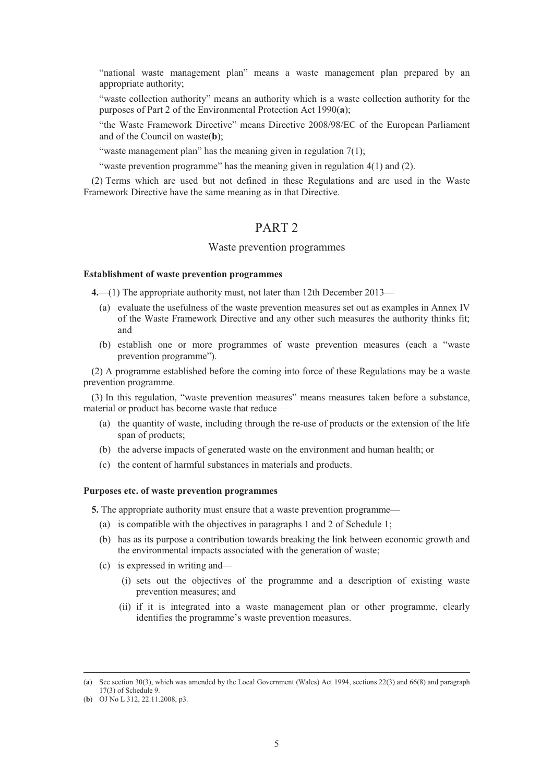"national waste management plan" means a waste management plan prepared by an appropriate authority;

"waste collection authority" means an authority which is a waste collection authority for the purposes of Part 2 of the Environmental Protection Act 1990(**a**);

"the Waste Framework Directive" means Directive 2008/98/EC of the European Parliament and of the Council on waste(**b**);

"waste management plan" has the meaning given in regulation  $7(1)$ ;

"waste prevention programme" has the meaning given in regulation 4(1) and (2).

(2) Terms which are used but not defined in these Regulations and are used in the Waste Framework Directive have the same meaning as in that Directive.

# PART 2

### Waste prevention programmes

### **Establishment of waste prevention programmes**

**4.**—(1) The appropriate authority must, not later than 12th December 2013—

- (a) evaluate the usefulness of the waste prevention measures set out as examples in Annex IV of the Waste Framework Directive and any other such measures the authority thinks fit; and
- (b) establish one or more programmes of waste prevention measures (each a "waste prevention programme").

(2) A programme established before the coming into force of these Regulations may be a waste prevention programme.

(3) In this regulation, "waste prevention measures" means measures taken before a substance, material or product has become waste that reduce—

- (a) the quantity of waste, including through the re-use of products or the extension of the life span of products;
- (b) the adverse impacts of generated waste on the environment and human health; or
- (c) the content of harmful substances in materials and products.

### **Purposes etc. of waste prevention programmes**

**5.** The appropriate authority must ensure that a waste prevention programme—

- (a) is compatible with the objectives in paragraphs 1 and 2 of Schedule 1;
- (b) has as its purpose a contribution towards breaking the link between economic growth and the environmental impacts associated with the generation of waste;
- (c) is expressed in writing and—
	- (i) sets out the objectives of the programme and a description of existing waste prevention measures; and
	- (ii) if it is integrated into a waste management plan or other programme, clearly identifies the programme's waste prevention measures.

 <sup>(</sup>**a**) See section 30(3), which was amended by the Local Government (Wales) Act 1994, sections 22(3) and 66(8) and paragraph 17(3) of Schedule 9.

<sup>(</sup>**b**) OJ No L 312, 22.11.2008, p3.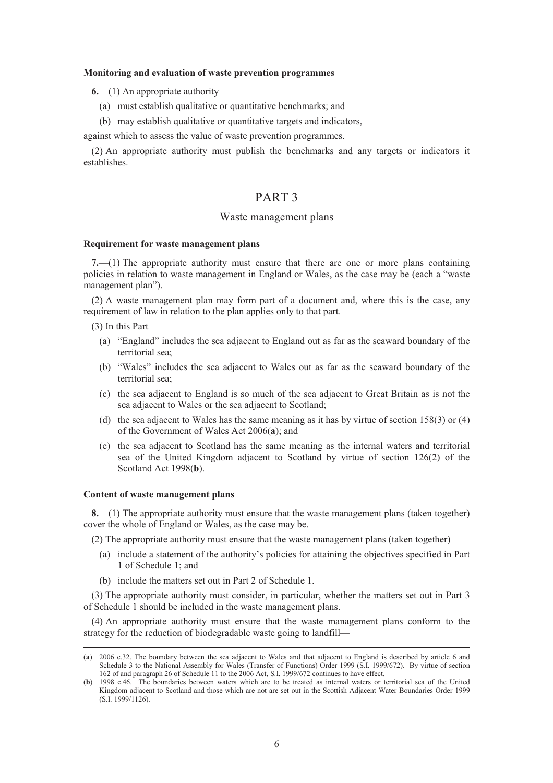#### **Monitoring and evaluation of waste prevention programmes**

**6.**—(1) An appropriate authority—

- (a) must establish qualitative or quantitative benchmarks; and
- (b) may establish qualitative or quantitative targets and indicators,

against which to assess the value of waste prevention programmes.

(2) An appropriate authority must publish the benchmarks and any targets or indicators it establishes.

# PART 3

### Waste management plans

#### **Requirement for waste management plans**

**7.**—(1) The appropriate authority must ensure that there are one or more plans containing policies in relation to waste management in England or Wales, as the case may be (each a "waste management plan").

(2) A waste management plan may form part of a document and, where this is the case, any requirement of law in relation to the plan applies only to that part.

- (3) In this Part—
	- (a) "England" includes the sea adjacent to England out as far as the seaward boundary of the territorial sea;
	- (b) "Wales" includes the sea adjacent to Wales out as far as the seaward boundary of the territorial sea;
	- (c) the sea adjacent to England is so much of the sea adjacent to Great Britain as is not the sea adjacent to Wales or the sea adjacent to Scotland;
	- (d) the sea adjacent to Wales has the same meaning as it has by virtue of section 158(3) or (4) of the Government of Wales Act 2006(**a**); and
	- (e) the sea adjacent to Scotland has the same meaning as the internal waters and territorial sea of the United Kingdom adjacent to Scotland by virtue of section 126(2) of the Scotland Act 1998(**b**).

#### **Content of waste management plans**

**8.**—(1) The appropriate authority must ensure that the waste management plans (taken together) cover the whole of England or Wales, as the case may be.

(2) The appropriate authority must ensure that the waste management plans (taken together)—

- (a) include a statement of the authority's policies for attaining the objectives specified in Part 1 of Schedule 1; and
- (b) include the matters set out in Part 2 of Schedule 1.

(3) The appropriate authority must consider, in particular, whether the matters set out in Part 3 of Schedule 1 should be included in the waste management plans.

(4) An appropriate authority must ensure that the waste management plans conform to the strategy for the reduction of biodegradable waste going to landfill—

 <sup>(</sup>**a**) 2006 c.32. The boundary between the sea adjacent to Wales and that adjacent to England is described by article 6 and Schedule 3 to the National Assembly for Wales (Transfer of Functions) Order 1999 (S.I. 1999/672). By virtue of section 162 of and paragraph 26 of Schedule 11 to the 2006 Act, S.I. 1999/672 continues to have effect.

<sup>(</sup>**b**) 1998 c.46. The boundaries between waters which are to be treated as internal waters or territorial sea of the United Kingdom adjacent to Scotland and those which are not are set out in the Scottish Adjacent Water Boundaries Order 1999 (S.I. 1999/1126).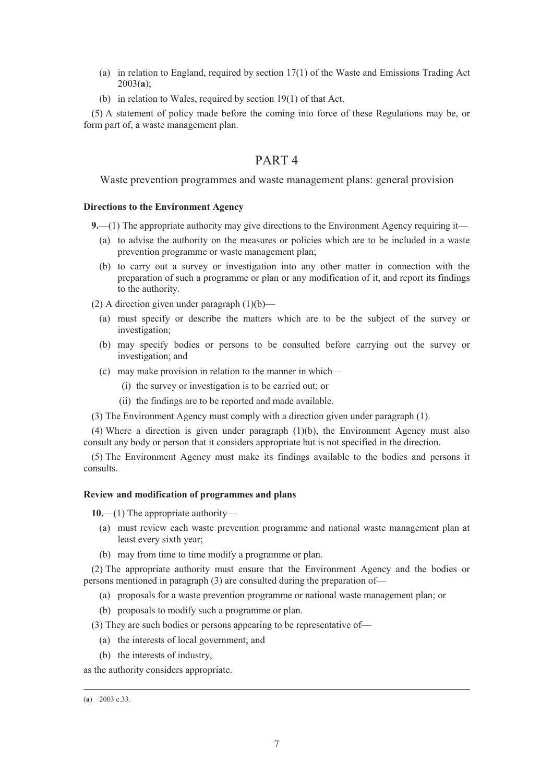- (a) in relation to England, required by section 17(1) of the Waste and Emissions Trading Act 2003(**a**);
- (b) in relation to Wales, required by section 19(1) of that Act.

(5) A statement of policy made before the coming into force of these Regulations may be, or form part of, a waste management plan.

# PART 4

Waste prevention programmes and waste management plans: general provision

### **Directions to the Environment Agency**

**9.**—(1) The appropriate authority may give directions to the Environment Agency requiring it—

- (a) to advise the authority on the measures or policies which are to be included in a waste prevention programme or waste management plan;
- (b) to carry out a survey or investigation into any other matter in connection with the preparation of such a programme or plan or any modification of it, and report its findings to the authority.

(2) A direction given under paragraph  $(1)(b)$ —

- (a) must specify or describe the matters which are to be the subject of the survey or investigation;
- (b) may specify bodies or persons to be consulted before carrying out the survey or investigation; and
- (c) may make provision in relation to the manner in which—
	- (i) the survey or investigation is to be carried out; or
	- (ii) the findings are to be reported and made available.

(3) The Environment Agency must comply with a direction given under paragraph (1).

(4) Where a direction is given under paragraph (1)(b), the Environment Agency must also consult any body or person that it considers appropriate but is not specified in the direction.

(5) The Environment Agency must make its findings available to the bodies and persons it consults.

#### **Review and modification of programmes and plans**

**10.**—(1) The appropriate authority—

- (a) must review each waste prevention programme and national waste management plan at least every sixth year;
- (b) may from time to time modify a programme or plan.

(2) The appropriate authority must ensure that the Environment Agency and the bodies or persons mentioned in paragraph (3) are consulted during the preparation of—

- (a) proposals for a waste prevention programme or national waste management plan; or
- (b) proposals to modify such a programme or plan.

(3) They are such bodies or persons appearing to be representative of—

- (a) the interests of local government; and
- (b) the interests of industry,

as the authority considers appropriate.

 <sup>(</sup>**a**) 2003 c.33.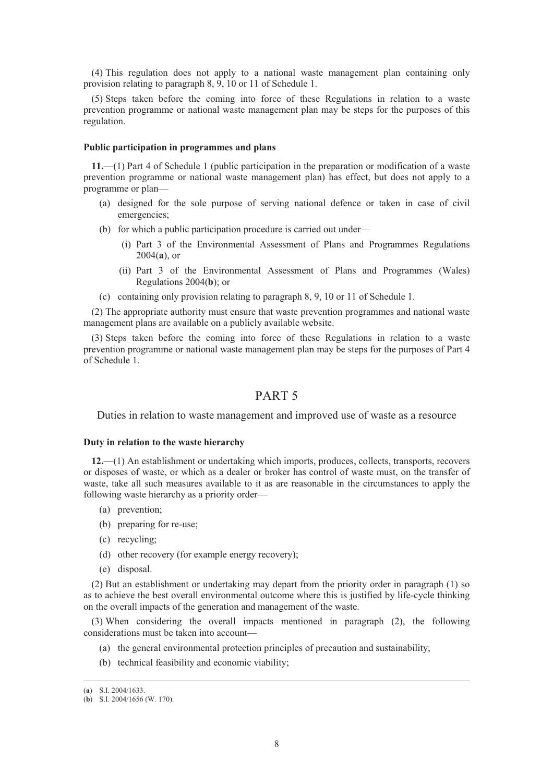(4) This regulation does not apply to a national waste management plan containing only provision relating to paragraph 8, 9, 10 or 11 of Schedule 1.

(5) Steps taken before the coming into force of these Regulations in relation to a waste prevention programme or national waste management plan may be steps for the purposes of this regulation.

### **Public participation in programmes and plans**

**11.**—(1) Part 4 of Schedule 1 (public participation in the preparation or modification of a waste prevention programme or national waste management plan) has effect, but does not apply to a programme or plan—

- (a) designed for the sole purpose of serving national defence or taken in case of civil emergencies;
- (b) for which a public participation procedure is carried out under—
	- (i) Part 3 of the Environmental Assessment of Plans and Programmes Regulations 2004(**a**), or
	- (ii) Part 3 of the Environmental Assessment of Plans and Programmes (Wales) Regulations 2004(**b**); or
- (c) containing only provision relating to paragraph 8, 9, 10 or 11 of Schedule 1.

(2) The appropriate authority must ensure that waste prevention programmes and national waste management plans are available on a publicly available website.

(3) Steps taken before the coming into force of these Regulations in relation to a waste prevention programme or national waste management plan may be steps for the purposes of Part 4 of Schedule 1.

# PART 5

Duties in relation to waste management and improved use of waste as a resource

#### **Duty in relation to the waste hierarchy**

**12.**—(1) An establishment or undertaking which imports, produces, collects, transports, recovers or disposes of waste, or which as a dealer or broker has control of waste must, on the transfer of waste, take all such measures available to it as are reasonable in the circumstances to apply the following waste hierarchy as a priority order—

- (a) prevention;
- (b) preparing for re-use;
- (c) recycling;
- (d) other recovery (for example energy recovery);
- (e) disposal.

(2) But an establishment or undertaking may depart from the priority order in paragraph (1) so as to achieve the best overall environmental outcome where this is justified by life-cycle thinking on the overall impacts of the generation and management of the waste.

(3) When considering the overall impacts mentioned in paragraph (2), the following considerations must be taken into account—

- (a) the general environmental protection principles of precaution and sustainability;
- (b) technical feasibility and economic viability;

 <sup>(</sup>**a**) S.I. 2004/1633.

<sup>(</sup>**b**) S.I. 2004/1656 (W. 170).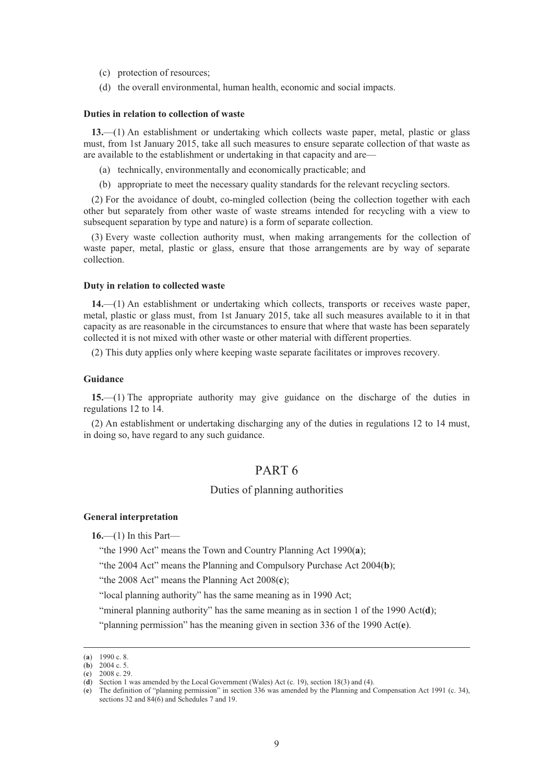- (c) protection of resources;
- (d) the overall environmental, human health, economic and social impacts.

#### **Duties in relation to collection of waste**

**13.**—(1) An establishment or undertaking which collects waste paper, metal, plastic or glass must, from 1st January 2015, take all such measures to ensure separate collection of that waste as are available to the establishment or undertaking in that capacity and are—

- (a) technically, environmentally and economically practicable; and
- (b) appropriate to meet the necessary quality standards for the relevant recycling sectors.

(2) For the avoidance of doubt, co-mingled collection (being the collection together with each other but separately from other waste of waste streams intended for recycling with a view to subsequent separation by type and nature) is a form of separate collection.

(3) Every waste collection authority must, when making arrangements for the collection of waste paper, metal, plastic or glass, ensure that those arrangements are by way of separate collection.

#### **Duty in relation to collected waste**

**14.**—(1) An establishment or undertaking which collects, transports or receives waste paper, metal, plastic or glass must, from 1st January 2015, take all such measures available to it in that capacity as are reasonable in the circumstances to ensure that where that waste has been separately collected it is not mixed with other waste or other material with different properties.

(2) This duty applies only where keeping waste separate facilitates or improves recovery.

#### **Guidance**

**15.**—(1) The appropriate authority may give guidance on the discharge of the duties in regulations 12 to 14.

(2) An establishment or undertaking discharging any of the duties in regulations 12 to 14 must, in doing so, have regard to any such guidance.

# PART 6

# Duties of planning authorities

#### **General interpretation**

**16.**—(1) In this Part—

"the 1990 Act" means the Town and Country Planning Act 1990(**a**);

"the 2004 Act" means the Planning and Compulsory Purchase Act 2004(**b**);

"the 2008 Act" means the Planning Act 2008(**c**);

"local planning authority" has the same meaning as in 1990 Act;

"mineral planning authority" has the same meaning as in section 1 of the 1990 Act(**d**);

"planning permission" has the meaning given in section 336 of the 1990 Act(**e**).

 <sup>(</sup>**a**) 1990 c. 8.

 $(b)$  2004 c. 5. (**c**) 2008 c. 29.

<sup>(</sup>**d**) Section 1 was amended by the Local Government (Wales) Act (c. 19), section 18(3) and (4).

<sup>(</sup>**e**) The definition of "planning permission" in section 336 was amended by the Planning and Compensation Act 1991 (c. 34), sections 32 and 84(6) and Schedules 7 and 19.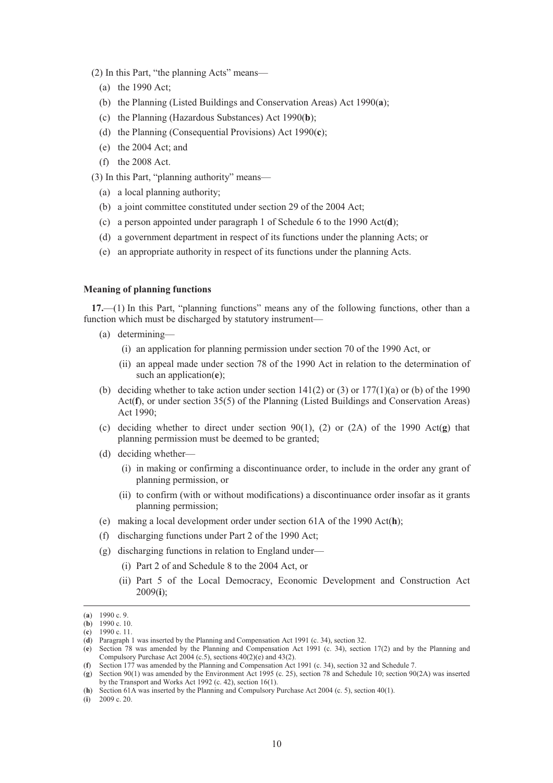(2) In this Part, "the planning Acts" means—

- (a) the 1990 Act;
- (b) the Planning (Listed Buildings and Conservation Areas) Act 1990(**a**);
- (c) the Planning (Hazardous Substances) Act 1990(**b**);
- (d) the Planning (Consequential Provisions) Act 1990(**c**);
- (e) the 2004 Act; and
- (f) the 2008 Act.
- (3) In this Part, "planning authority" means—
	- (a) a local planning authority;
	- (b) a joint committee constituted under section 29 of the 2004 Act;
	- (c) a person appointed under paragraph 1 of Schedule 6 to the 1990 Act(**d**);
	- (d) a government department in respect of its functions under the planning Acts; or
	- (e) an appropriate authority in respect of its functions under the planning Acts.

#### **Meaning of planning functions**

**17.**—(1) In this Part, "planning functions" means any of the following functions, other than a function which must be discharged by statutory instrument—

- (a) determining—
	- (i) an application for planning permission under section 70 of the 1990 Act, or
	- (ii) an appeal made under section 78 of the 1990 Act in relation to the determination of such an application(**e**);
- (b) deciding whether to take action under section  $141(2)$  or  $(3)$  or  $177(1)(a)$  or (b) of the 1990 Act(**f**), or under section 35(5) of the Planning (Listed Buildings and Conservation Areas) Act 1990;
- (c) deciding whether to direct under section 90(1), (2) or (2A) of the 1990 Act(**g**) that planning permission must be deemed to be granted;
- (d) deciding whether—
	- (i) in making or confirming a discontinuance order, to include in the order any grant of planning permission, or
	- (ii) to confirm (with or without modifications) a discontinuance order insofar as it grants planning permission;
- (e) making a local development order under section 61A of the 1990 Act(**h**);
- (f) discharging functions under Part 2 of the 1990 Act;
- (g) discharging functions in relation to England under—
	- (i) Part 2 of and Schedule 8 to the 2004 Act, or
		- (ii) Part 5 of the Local Democracy, Economic Development and Construction Act 2009(**i**);

(**i**) 2009 c. 20.

 <sup>(</sup>**a**) 1990 c. 9.

<sup>(</sup>**b**) 1990 c. 10.

<sup>(</sup>**c**) 1990 c. 11.

<sup>(</sup>**d**) Paragraph 1 was inserted by the Planning and Compensation Act 1991 (c. 34), section 32.

<sup>(</sup>**e**) Section 78 was amended by the Planning and Compensation Act 1991 (c. 34), section 17(2) and by the Planning and Compulsory Purchase Act 2004 (c.5), sections  $40(2)(e)$  and  $43(2)$ .

<sup>(</sup>**f**) Section 177 was amended by the Planning and Compensation Act 1991 (c. 34), section 32 and Schedule 7.

<sup>(</sup>**g**) Section 90(1) was amended by the Environment Act 1995 (c. 25), section 78 and Schedule 10; section 90(2A) was inserted by the Transport and Works Act 1992 (c. 42), section 16(1).

<sup>(</sup>**h**) Section 61A was inserted by the Planning and Compulsory Purchase Act 2004 (c. 5), section 40(1).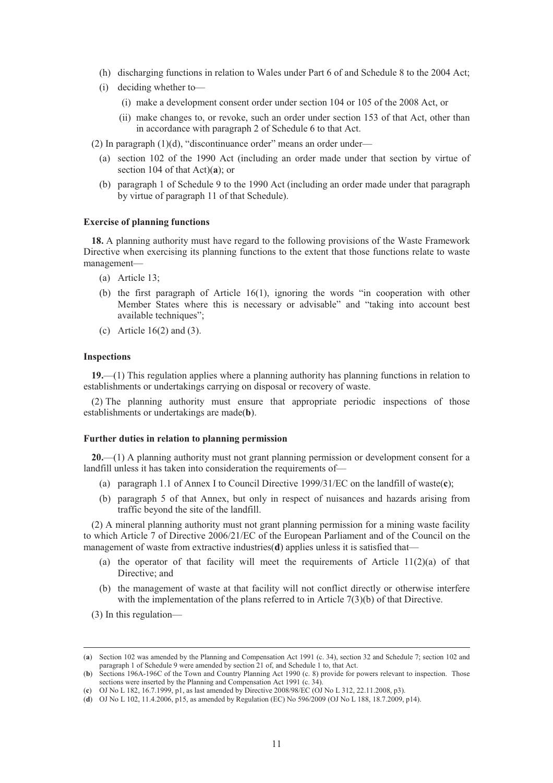- (h) discharging functions in relation to Wales under Part 6 of and Schedule 8 to the 2004 Act;
- (i) deciding whether to—
	- (i) make a development consent order under section 104 or 105 of the 2008 Act, or
	- (ii) make changes to, or revoke, such an order under section 153 of that Act, other than in accordance with paragraph 2 of Schedule 6 to that Act.

(2) In paragraph  $(1)(d)$ , "discontinuance order" means an order under—

- (a) section 102 of the 1990 Act (including an order made under that section by virtue of section 104 of that Act)(**a**); or
- (b) paragraph 1 of Schedule 9 to the 1990 Act (including an order made under that paragraph by virtue of paragraph 11 of that Schedule).

### **Exercise of planning functions**

**18.** A planning authority must have regard to the following provisions of the Waste Framework Directive when exercising its planning functions to the extent that those functions relate to waste management—

- (a) Article 13;
- (b) the first paragraph of Article 16(1), ignoring the words "in cooperation with other Member States where this is necessary or advisable" and "taking into account best available techniques";
- (c) Article 16(2) and (3).

#### **Inspections**

**19.**—(1) This regulation applies where a planning authority has planning functions in relation to establishments or undertakings carrying on disposal or recovery of waste.

(2) The planning authority must ensure that appropriate periodic inspections of those establishments or undertakings are made(**b**).

### **Further duties in relation to planning permission**

**20.**—(1) A planning authority must not grant planning permission or development consent for a landfill unless it has taken into consideration the requirements of—

- (a) paragraph 1.1 of Annex I to Council Directive 1999/31/EC on the landfill of waste(**c**);
- (b) paragraph 5 of that Annex, but only in respect of nuisances and hazards arising from traffic beyond the site of the landfill.

(2) A mineral planning authority must not grant planning permission for a mining waste facility to which Article 7 of Directive 2006/21/EC of the European Parliament and of the Council on the management of waste from extractive industries(**d**) applies unless it is satisfied that—

- (a) the operator of that facility will meet the requirements of Article  $11(2)(a)$  of that Directive; and
- (b) the management of waste at that facility will not conflict directly or otherwise interfere with the implementation of the plans referred to in Article 7(3)(b) of that Directive.
- (3) In this regulation—

 <sup>(</sup>**a**) Section 102 was amended by the Planning and Compensation Act 1991 (c. 34), section 32 and Schedule 7; section 102 and paragraph 1 of Schedule 9 were amended by section 21 of, and Schedule 1 to, that Act.

<sup>(</sup>**b**) Sections 196A-196C of the Town and Country Planning Act 1990 (c. 8) provide for powers relevant to inspection. Those sections were inserted by the Planning and Compensation Act 1991 (c. 34).

<sup>(</sup>**c**) OJ No L 182, 16.7.1999, p1, as last amended by Directive 2008/98/EC (OJ No L 312, 22.11.2008, p3).

<sup>(</sup>**d**) OJ No L 102, 11.4.2006, p15, as amended by Regulation (EC) No 596/2009 (OJ No L 188, 18.7.2009, p14).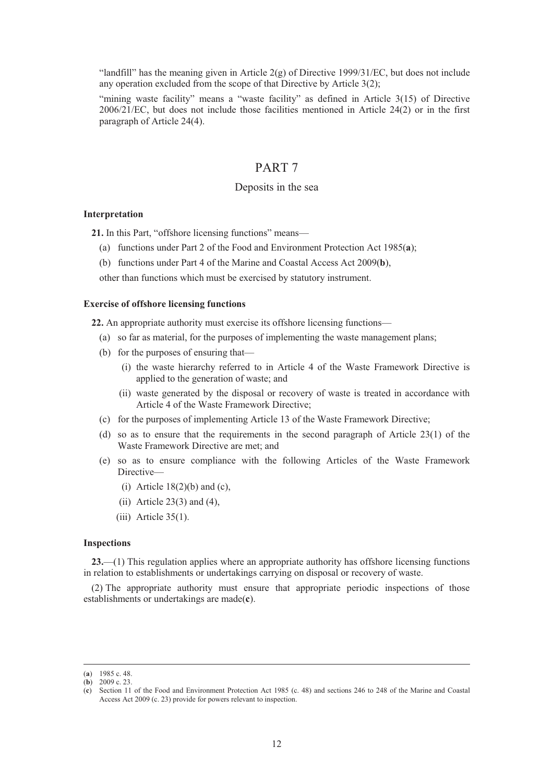"landfill" has the meaning given in Article  $2(g)$  of Directive 1999/31/EC, but does not include any operation excluded from the scope of that Directive by Article 3(2);

"mining waste facility" means a "waste facility" as defined in Article 3(15) of Directive 2006/21/EC, but does not include those facilities mentioned in Article 24(2) or in the first paragraph of Article 24(4).

# PART 7

# Deposits in the sea

### **Interpretation**

**21.** In this Part, "offshore licensing functions" means—

- (a) functions under Part 2 of the Food and Environment Protection Act 1985(**a**);
- (b) functions under Part 4 of the Marine and Coastal Access Act 2009(**b**),

other than functions which must be exercised by statutory instrument.

#### **Exercise of offshore licensing functions**

**22.** An appropriate authority must exercise its offshore licensing functions—

- (a) so far as material, for the purposes of implementing the waste management plans;
- (b) for the purposes of ensuring that—
	- (i) the waste hierarchy referred to in Article 4 of the Waste Framework Directive is applied to the generation of waste; and
	- (ii) waste generated by the disposal or recovery of waste is treated in accordance with Article 4 of the Waste Framework Directive;
- (c) for the purposes of implementing Article 13 of the Waste Framework Directive;
- (d) so as to ensure that the requirements in the second paragraph of Article 23(1) of the Waste Framework Directive are met; and
- (e) so as to ensure compliance with the following Articles of the Waste Framework Directive—
	- (i) Article  $18(2)(b)$  and (c),
	- (ii) Article  $23(3)$  and  $(4)$ ,
	- $(iii)$  Article 35(1).

#### **Inspections**

**23.**—(1) This regulation applies where an appropriate authority has offshore licensing functions in relation to establishments or undertakings carrying on disposal or recovery of waste.

(2) The appropriate authority must ensure that appropriate periodic inspections of those establishments or undertakings are made(**c**).

 <sup>(</sup>**a**) 1985 c. 48.

 $(b)$  2009 c. 23.

<sup>(</sup>**c**) Section 11 of the Food and Environment Protection Act 1985 (c. 48) and sections 246 to 248 of the Marine and Coastal Access Act 2009 (c. 23) provide for powers relevant to inspection.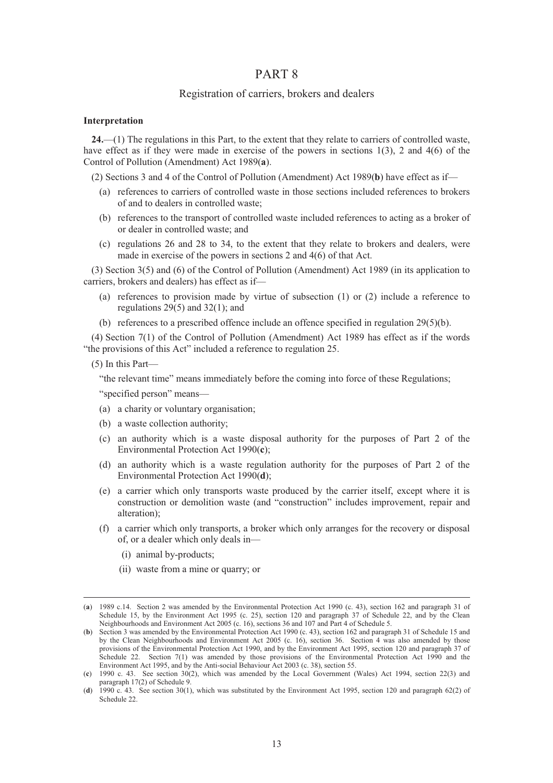# PART 8

# Registration of carriers, brokers and dealers

# **Interpretation**

**24.**—(1) The regulations in this Part, to the extent that they relate to carriers of controlled waste, have effect as if they were made in exercise of the powers in sections 1(3), 2 and 4(6) of the Control of Pollution (Amendment) Act 1989(**a**).

(2) Sections 3 and 4 of the Control of Pollution (Amendment) Act 1989(**b**) have effect as if—

- (a) references to carriers of controlled waste in those sections included references to brokers of and to dealers in controlled waste;
- (b) references to the transport of controlled waste included references to acting as a broker of or dealer in controlled waste; and
- (c) regulations 26 and 28 to 34, to the extent that they relate to brokers and dealers, were made in exercise of the powers in sections 2 and 4(6) of that Act.

(3) Section 3(5) and (6) of the Control of Pollution (Amendment) Act 1989 (in its application to carriers, brokers and dealers) has effect as if—

- (a) references to provision made by virtue of subsection (1) or (2) include a reference to regulations  $29(5)$  and  $32(1)$ ; and
- (b) references to a prescribed offence include an offence specified in regulation 29(5)(b).

(4) Section 7(1) of the Control of Pollution (Amendment) Act 1989 has effect as if the words "the provisions of this Act" included a reference to regulation 25.

(5) In this Part—

"the relevant time" means immediately before the coming into force of these Regulations; "specified person" means—

- (a) a charity or voluntary organisation;
- (b) a waste collection authority;
- (c) an authority which is a waste disposal authority for the purposes of Part 2 of the Environmental Protection Act 1990(**c**);
- (d) an authority which is a waste regulation authority for the purposes of Part 2 of the Environmental Protection Act 1990(**d**);
- (e) a carrier which only transports waste produced by the carrier itself, except where it is construction or demolition waste (and "construction" includes improvement, repair and alteration);
- (f) a carrier which only transports, a broker which only arranges for the recovery or disposal of, or a dealer which only deals in—
	- (i) animal by-products;
	- (ii) waste from a mine or quarry; or

 <sup>(</sup>**a**) 1989 c.14. Section 2 was amended by the Environmental Protection Act 1990 (c. 43), section 162 and paragraph 31 of Schedule 15, by the Environment Act 1995 (c. 25), section 120 and paragraph 37 of Schedule 22, and by the Clean Neighbourhoods and Environment Act 2005 (c. 16), sections 36 and 107 and Part 4 of Schedule 5.

<sup>(</sup>**b**) Section 3 was amended by the Environmental Protection Act 1990 (c. 43), section 162 and paragraph 31 of Schedule 15 and by the Clean Neighbourhoods and Environment Act 2005 (c. 16), section 36. Section 4 was also amended by those provisions of the Environmental Protection Act 1990, and by the Environment Act 1995, section 120 and paragraph 37 of Schedule 22. Section 7(1) was amended by those provisions of the Environmental Protection Act 1990 and the Environment Act 1995, and by the Anti-social Behaviour Act 2003 (c. 38), section 55.

<sup>(</sup>**c**) 1990 c. 43. See section 30(2), which was amended by the Local Government (Wales) Act 1994, section 22(3) and paragraph 17(2) of Schedule 9.

<sup>(</sup>**d**) 1990 c. 43. See section 30(1), which was substituted by the Environment Act 1995, section 120 and paragraph 62(2) of Schedule 22.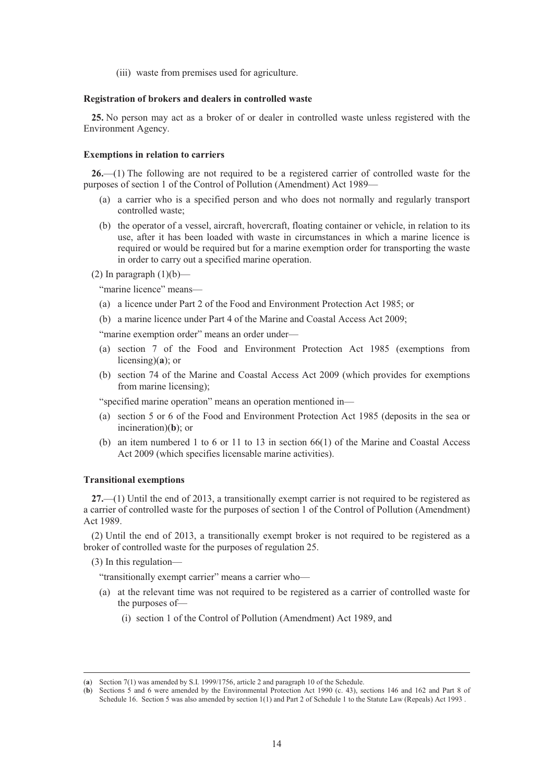(iii) waste from premises used for agriculture.

#### **Registration of brokers and dealers in controlled waste**

**25.** No person may act as a broker of or dealer in controlled waste unless registered with the Environment Agency.

#### **Exemptions in relation to carriers**

**26.**—(1) The following are not required to be a registered carrier of controlled waste for the purposes of section 1 of the Control of Pollution (Amendment) Act 1989—

- (a) a carrier who is a specified person and who does not normally and regularly transport controlled waste;
- (b) the operator of a vessel, aircraft, hovercraft, floating container or vehicle, in relation to its use, after it has been loaded with waste in circumstances in which a marine licence is required or would be required but for a marine exemption order for transporting the waste in order to carry out a specified marine operation.

(2) In paragraph  $(1)(b)$ —

"marine licence" means—

- (a) a licence under Part 2 of the Food and Environment Protection Act 1985; or
- (b) a marine licence under Part 4 of the Marine and Coastal Access Act 2009;

"marine exemption order" means an order under-

- (a) section 7 of the Food and Environment Protection Act 1985 (exemptions from licensing)(**a**); or
- (b) section 74 of the Marine and Coastal Access Act 2009 (which provides for exemptions from marine licensing);

"specified marine operation" means an operation mentioned in—

- (a) section 5 or 6 of the Food and Environment Protection Act 1985 (deposits in the sea or incineration)(**b**); or
- (b) an item numbered 1 to 6 or 11 to 13 in section  $66(1)$  of the Marine and Coastal Access Act 2009 (which specifies licensable marine activities).

#### **Transitional exemptions**

**27.**—(1) Until the end of 2013, a transitionally exempt carrier is not required to be registered as a carrier of controlled waste for the purposes of section 1 of the Control of Pollution (Amendment) Act 1989.

(2) Until the end of 2013, a transitionally exempt broker is not required to be registered as a broker of controlled waste for the purposes of regulation 25.

(3) In this regulation—

"transitionally exempt carrier" means a carrier who—

- (a) at the relevant time was not required to be registered as a carrier of controlled waste for the purposes of—
	- (i) section 1 of the Control of Pollution (Amendment) Act 1989, and

 <sup>(</sup>**a**) Section 7(1) was amended by S.I. 1999/1756, article 2 and paragraph 10 of the Schedule.

<sup>(</sup>**b**) Sections 5 and 6 were amended by the Environmental Protection Act 1990 (c. 43), sections 146 and 162 and Part 8 of Schedule 16. Section 5 was also amended by section 1(1) and Part 2 of Schedule 1 to the Statute Law (Repeals) Act 1993 .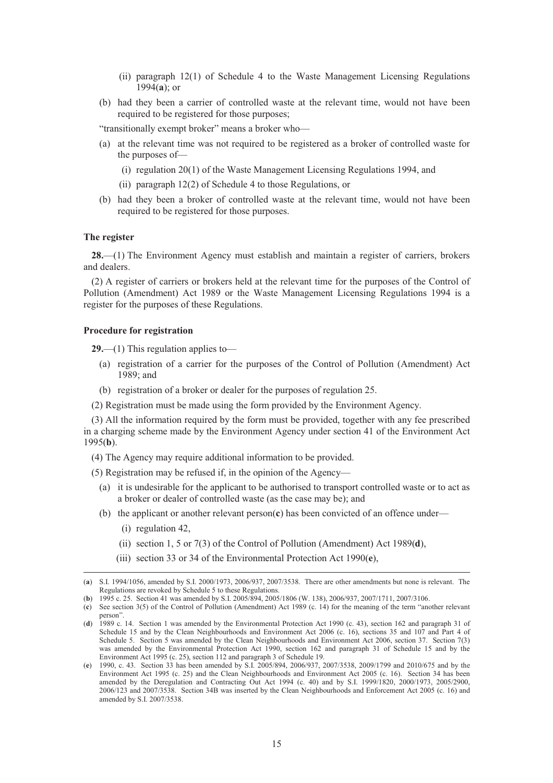- (ii) paragraph 12(1) of Schedule 4 to the Waste Management Licensing Regulations 1994(**a**); or
- (b) had they been a carrier of controlled waste at the relevant time, would not have been required to be registered for those purposes;

"transitionally exempt broker" means a broker who—

- (a) at the relevant time was not required to be registered as a broker of controlled waste for the purposes of—
	- (i) regulation 20(1) of the Waste Management Licensing Regulations 1994, and
	- (ii) paragraph 12(2) of Schedule 4 to those Regulations, or
- (b) had they been a broker of controlled waste at the relevant time, would not have been required to be registered for those purposes.

#### **The register**

**28.**—(1) The Environment Agency must establish and maintain a register of carriers, brokers and dealers.

(2) A register of carriers or brokers held at the relevant time for the purposes of the Control of Pollution (Amendment) Act 1989 or the Waste Management Licensing Regulations 1994 is a register for the purposes of these Regulations.

### **Procedure for registration**

**29.**—(1) This regulation applies to—

- (a) registration of a carrier for the purposes of the Control of Pollution (Amendment) Act 1989; and
- (b) registration of a broker or dealer for the purposes of regulation 25.
- (2) Registration must be made using the form provided by the Environment Agency.

(3) All the information required by the form must be provided, together with any fee prescribed in a charging scheme made by the Environment Agency under section 41 of the Environment Act 1995(**b**).

(4) The Agency may require additional information to be provided.

(5) Registration may be refused if, in the opinion of the Agency—

- (a) it is undesirable for the applicant to be authorised to transport controlled waste or to act as a broker or dealer of controlled waste (as the case may be); and
- (b) the applicant or another relevant person(**c**) has been convicted of an offence under—
	- (i) regulation 42,
	- (ii) section 1, 5 or 7(3) of the Control of Pollution (Amendment) Act 1989(**d**),
	- (iii) section 33 or 34 of the Environmental Protection Act 1990(**e**),

 <sup>(</sup>**a**) S.I. 1994/1056, amended by S.I. 2000/1973, 2006/937, 2007/3538. There are other amendments but none is relevant. The Regulations are revoked by Schedule 5 to these Regulations.

<sup>(</sup>**b**) 1995 c. 25. Section 41 was amended by S.I. 2005/894, 2005/1806 (W. 138), 2006/937, 2007/1711, 2007/3106.

<sup>(</sup>**c**) See section 3(5) of the Control of Pollution (Amendment) Act 1989 (c. 14) for the meaning of the term "another relevant person".

<sup>(</sup>**d**) 1989 c. 14. Section 1 was amended by the Environmental Protection Act 1990 (c. 43), section 162 and paragraph 31 of Schedule 15 and by the Clean Neighbourhoods and Environment Act 2006 (c. 16), sections 35 and 107 and Part 4 of Schedule 5. Section 5 was amended by the Clean Neighbourhoods and Environment Act 2006, section 37. Section 7(3) was amended by the Environmental Protection Act 1990, section 162 and paragraph 31 of Schedule 15 and by the Environment Act 1995 (c. 25), section 112 and paragraph 3 of Schedule 19.

<sup>(</sup>**e**) 1990, c. 43. Section 33 has been amended by S.I. 2005/894, 2006/937, 2007/3538, 2009/1799 and 2010/675 and by the Environment Act 1995 (c. 25) and the Clean Neighbourhoods and Environment Act 2005 (c. 16). Section 34 has been amended by the Deregulation and Contracting Out Act 1994 (c. 40) and by S.I. 1999/1820, 2000/1973, 2005/2900, 2006/123 and 2007/3538. Section 34B was inserted by the Clean Neighbourhoods and Enforcement Act 2005 (c. 16) and amended by S.I. 2007/3538.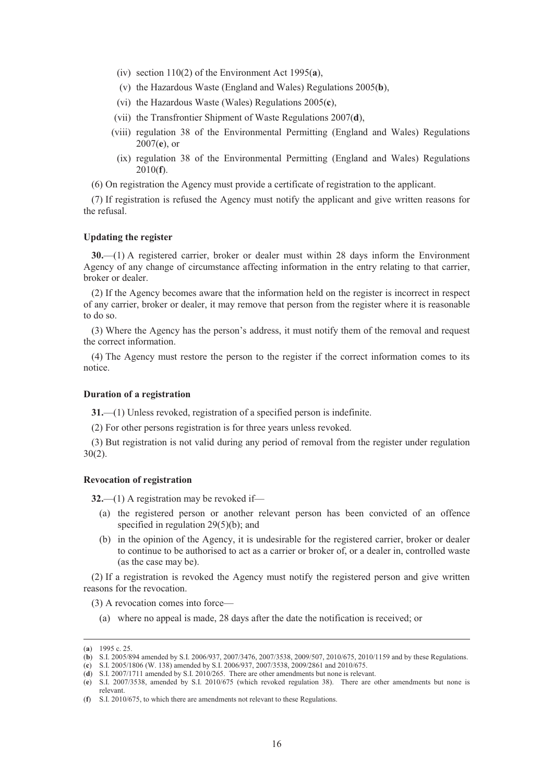- (iv) section 110(2) of the Environment Act 1995(**a**),
- (v) the Hazardous Waste (England and Wales) Regulations 2005(**b**),
- (vi) the Hazardous Waste (Wales) Regulations 2005(**c**),
- (vii) the Transfrontier Shipment of Waste Regulations 2007(**d**),
- (viii) regulation 38 of the Environmental Permitting (England and Wales) Regulations 2007(**e**), or
- (ix) regulation 38 of the Environmental Permitting (England and Wales) Regulations 2010(**f**).

(6) On registration the Agency must provide a certificate of registration to the applicant.

(7) If registration is refused the Agency must notify the applicant and give written reasons for the refusal.

#### **Updating the register**

**30.**—(1) A registered carrier, broker or dealer must within 28 days inform the Environment Agency of any change of circumstance affecting information in the entry relating to that carrier, broker or dealer.

(2) If the Agency becomes aware that the information held on the register is incorrect in respect of any carrier, broker or dealer, it may remove that person from the register where it is reasonable to do so.

(3) Where the Agency has the person's address, it must notify them of the removal and request the correct information.

(4) The Agency must restore the person to the register if the correct information comes to its notice.

# **Duration of a registration**

**31.**—(1) Unless revoked, registration of a specified person is indefinite.

(2) For other persons registration is for three years unless revoked.

(3) But registration is not valid during any period of removal from the register under regulation 30(2).

### **Revocation of registration**

**32.**—(1) A registration may be revoked if—

- (a) the registered person or another relevant person has been convicted of an offence specified in regulation 29(5)(b); and
- (b) in the opinion of the Agency, it is undesirable for the registered carrier, broker or dealer to continue to be authorised to act as a carrier or broker of, or a dealer in, controlled waste (as the case may be).

(2) If a registration is revoked the Agency must notify the registered person and give written reasons for the revocation.

(3) A revocation comes into force—

(a) where no appeal is made, 28 days after the date the notification is received; or

 <sup>(</sup>**a**) 1995 c. 25.

<sup>(</sup>**b**) S.I. 2005/894 amended by S.I. 2006/937, 2007/3476, 2007/3538, 2009/507, 2010/675, 2010/1159 and by these Regulations.

<sup>(</sup>**c**) S.I. 2005/1806 (W. 138) amended by S.I. 2006/937, 2007/3538, 2009/2861 and 2010/675.

<sup>(</sup>**d**) S.I. 2007/1711 amended by S.I. 2010/265. There are other amendments but none is relevant.

<sup>(</sup>**e**) S.I. 2007/3538, amended by S.I. 2010/675 (which revoked regulation 38). There are other amendments but none is relevant.

<sup>(</sup>**f**) S.I. 2010/675, to which there are amendments not relevant to these Regulations.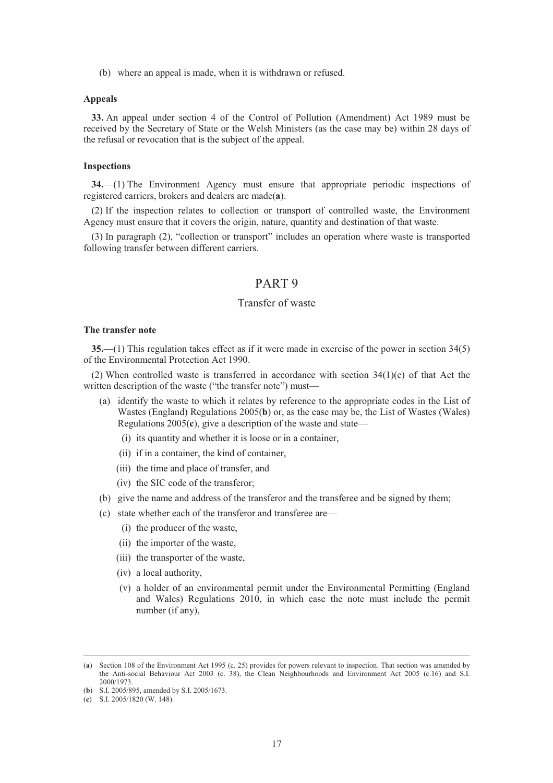(b) where an appeal is made, when it is withdrawn or refused.

#### **Appeals**

**33.** An appeal under section 4 of the Control of Pollution (Amendment) Act 1989 must be received by the Secretary of State or the Welsh Ministers (as the case may be) within 28 days of the refusal or revocation that is the subject of the appeal.

#### **Inspections**

**34.**—(1) The Environment Agency must ensure that appropriate periodic inspections of registered carriers, brokers and dealers are made(**a**).

(2) If the inspection relates to collection or transport of controlled waste, the Environment Agency must ensure that it covers the origin, nature, quantity and destination of that waste.

(3) In paragraph (2), "collection or transport" includes an operation where waste is transported following transfer between different carriers.

# PART 9

# Transfer of waste

# **The transfer note**

**35.**—(1) This regulation takes effect as if it were made in exercise of the power in section 34(5) of the Environmental Protection Act 1990.

(2) When controlled waste is transferred in accordance with section 34(1)(c) of that Act the written description of the waste ("the transfer note") must-

- (a) identify the waste to which it relates by reference to the appropriate codes in the List of Wastes (England) Regulations 2005(**b**) or, as the case may be, the List of Wastes (Wales) Regulations 2005(**c**), give a description of the waste and state—
	- (i) its quantity and whether it is loose or in a container,
	- (ii) if in a container, the kind of container,
	- (iii) the time and place of transfer, and
	- (iv) the SIC code of the transferor;
- (b) give the name and address of the transferor and the transferee and be signed by them;
- (c) state whether each of the transferor and transferee are—
	- (i) the producer of the waste,
	- (ii) the importer of the waste,
	- (iii) the transporter of the waste,
	- (iv) a local authority,
	- (v) a holder of an environmental permit under the Environmental Permitting (England and Wales) Regulations 2010, in which case the note must include the permit number (if any),

 <sup>(</sup>**a**) Section 108 of the Environment Act 1995 (c. 25) provides for powers relevant to inspection. That section was amended by the Anti-social Behaviour Act 2003 (c. 38), the Clean Neighbourhoods and Environment Act 2005 (c.16) and S.I. 2000/1973.

<sup>(</sup>**b**) S.I. 2005/895, amended by S.I. 2005/1673.

<sup>(</sup>**c**) S.I. 2005/1820 (W. 148).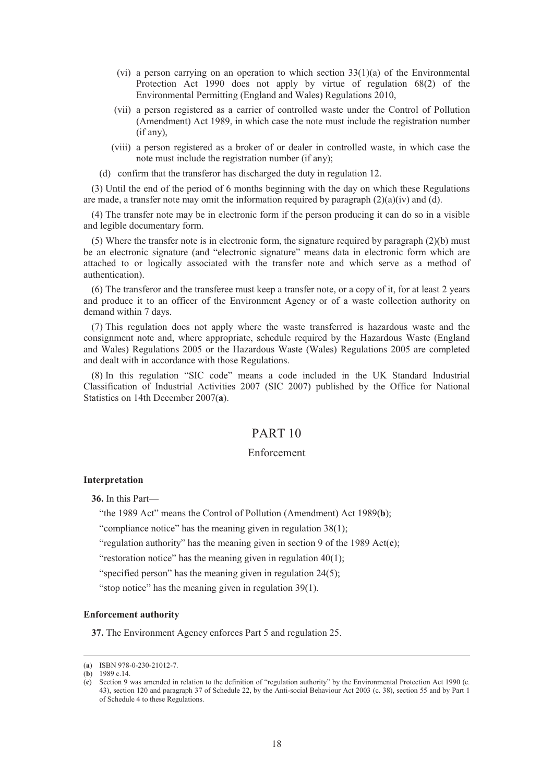- (vi) a person carrying on an operation to which section  $33(1)(a)$  of the Environmental Protection Act 1990 does not apply by virtue of regulation 68(2) of the Environmental Permitting (England and Wales) Regulations 2010,
- (vii) a person registered as a carrier of controlled waste under the Control of Pollution (Amendment) Act 1989, in which case the note must include the registration number (if any),
- (viii) a person registered as a broker of or dealer in controlled waste, in which case the note must include the registration number (if any);
- (d) confirm that the transferor has discharged the duty in regulation 12.

(3) Until the end of the period of 6 months beginning with the day on which these Regulations are made, a transfer note may omit the information required by paragraph  $(2)(a)(iv)$  and  $(d)$ .

(4) The transfer note may be in electronic form if the person producing it can do so in a visible and legible documentary form.

(5) Where the transfer note is in electronic form, the signature required by paragraph (2)(b) must be an electronic signature (and "electronic signature" means data in electronic form which are attached to or logically associated with the transfer note and which serve as a method of authentication).

(6) The transferor and the transferee must keep a transfer note, or a copy of it, for at least 2 years and produce it to an officer of the Environment Agency or of a waste collection authority on demand within 7 days.

(7) This regulation does not apply where the waste transferred is hazardous waste and the consignment note and, where appropriate, schedule required by the Hazardous Waste (England and Wales) Regulations 2005 or the Hazardous Waste (Wales) Regulations 2005 are completed and dealt with in accordance with those Regulations.

(8) In this regulation "SIC code" means a code included in the UK Standard Industrial Classification of Industrial Activities 2007 (SIC 2007) published by the Office for National Statistics on 14th December 2007(**a**).

# PART 10

# Enforcement

#### **Interpretation**

**36.** In this Part—

"the 1989 Act" means the Control of Pollution (Amendment) Act 1989(**b**);

"compliance notice" has the meaning given in regulation 38(1);

"regulation authority" has the meaning given in section 9 of the 1989 Act(**c**);

"restoration notice" has the meaning given in regulation 40(1);

"specified person" has the meaning given in regulation 24(5);

"stop notice" has the meaning given in regulation 39(1).

### **Enforcement authority**

**37.** The Environment Agency enforces Part 5 and regulation 25.

 <sup>(</sup>**a**) ISBN 978-0-230-21012-7.

<sup>(</sup>**b**) 1989 c.14.

<sup>(</sup>**c**) Section 9 was amended in relation to the definition of "regulation authority" by the Environmental Protection Act 1990 (c. 43), section 120 and paragraph 37 of Schedule 22, by the Anti-social Behaviour Act 2003 (c. 38), section 55 and by Part 1 of Schedule 4 to these Regulations.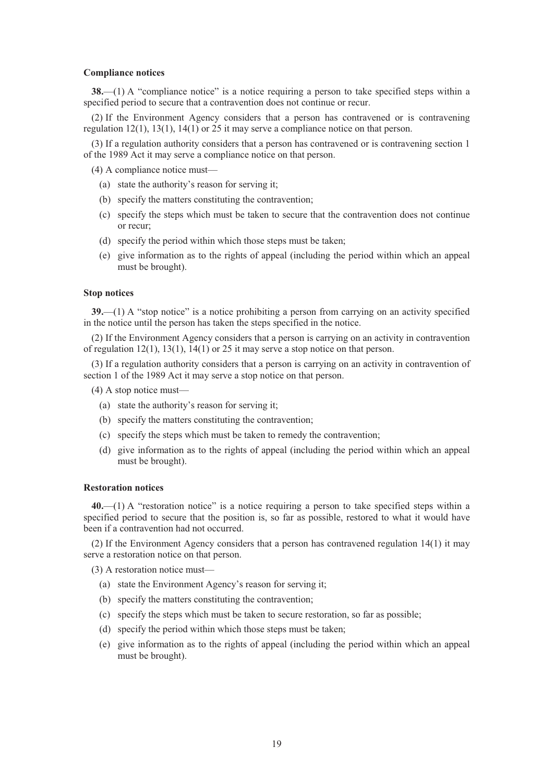#### **Compliance notices**

**38.**—(1) A "compliance notice" is a notice requiring a person to take specified steps within a specified period to secure that a contravention does not continue or recur.

(2) If the Environment Agency considers that a person has contravened or is contravening regulation 12(1), 13(1), 14(1) or 25 it may serve a compliance notice on that person.

(3) If a regulation authority considers that a person has contravened or is contravening section 1 of the 1989 Act it may serve a compliance notice on that person.

(4) A compliance notice must—

- (a) state the authority's reason for serving it;
- (b) specify the matters constituting the contravention;
- (c) specify the steps which must be taken to secure that the contravention does not continue or recur;
- (d) specify the period within which those steps must be taken;
- (e) give information as to the rights of appeal (including the period within which an appeal must be brought).

#### **Stop notices**

**39.**—(1) A "stop notice" is a notice prohibiting a person from carrying on an activity specified in the notice until the person has taken the steps specified in the notice.

(2) If the Environment Agency considers that a person is carrying on an activity in contravention of regulation 12(1), 13(1), 14(1) or 25 it may serve a stop notice on that person.

(3) If a regulation authority considers that a person is carrying on an activity in contravention of section 1 of the 1989 Act it may serve a stop notice on that person.

(4) A stop notice must—

- (a) state the authority's reason for serving it;
- (b) specify the matters constituting the contravention;
- (c) specify the steps which must be taken to remedy the contravention;
- (d) give information as to the rights of appeal (including the period within which an appeal must be brought).

#### **Restoration notices**

**40.**—(1) A "restoration notice" is a notice requiring a person to take specified steps within a specified period to secure that the position is, so far as possible, restored to what it would have been if a contravention had not occurred.

(2) If the Environment Agency considers that a person has contravened regulation 14(1) it may serve a restoration notice on that person.

- (3) A restoration notice must—
	- (a) state the Environment Agency's reason for serving it;
	- (b) specify the matters constituting the contravention;
	- (c) specify the steps which must be taken to secure restoration, so far as possible;
	- (d) specify the period within which those steps must be taken;
	- (e) give information as to the rights of appeal (including the period within which an appeal must be brought).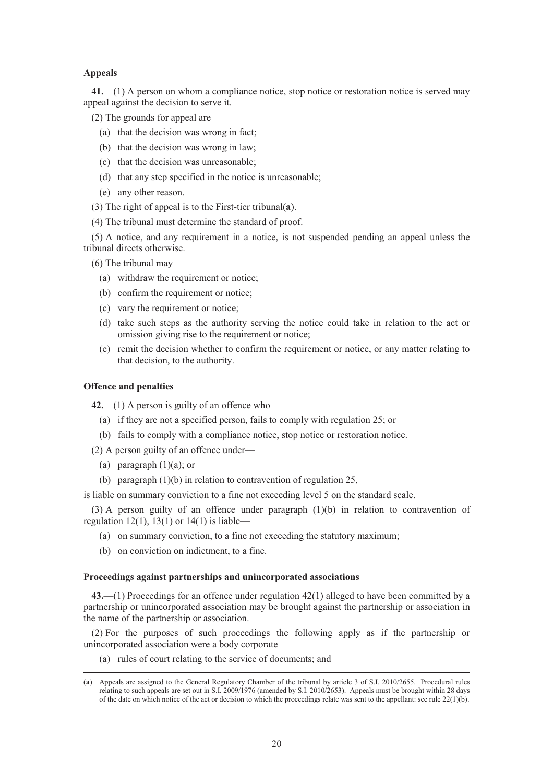### **Appeals**

**41.**—(1) A person on whom a compliance notice, stop notice or restoration notice is served may appeal against the decision to serve it.

(2) The grounds for appeal are—

- (a) that the decision was wrong in fact;
- (b) that the decision was wrong in law;
- (c) that the decision was unreasonable;
- (d) that any step specified in the notice is unreasonable;
- (e) any other reason.
- (3) The right of appeal is to the First-tier tribunal(**a**).
- (4) The tribunal must determine the standard of proof.

(5) A notice, and any requirement in a notice, is not suspended pending an appeal unless the tribunal directs otherwise.

(6) The tribunal may—

- (a) withdraw the requirement or notice;
- (b) confirm the requirement or notice;
- (c) vary the requirement or notice;
- (d) take such steps as the authority serving the notice could take in relation to the act or omission giving rise to the requirement or notice;
- (e) remit the decision whether to confirm the requirement or notice, or any matter relating to that decision, to the authority.

### **Offence and penalties**

**42.**—(1) A person is guilty of an offence who—

- (a) if they are not a specified person, fails to comply with regulation 25; or
- (b) fails to comply with a compliance notice, stop notice or restoration notice.
- (2) A person guilty of an offence under—
	- (a) paragraph  $(1)(a)$ ; or
	- (b) paragraph (1)(b) in relation to contravention of regulation 25,

is liable on summary conviction to a fine not exceeding level 5 on the standard scale.

(3) A person guilty of an offence under paragraph (1)(b) in relation to contravention of regulation 12(1), 13(1) or 14(1) is liable-

- (a) on summary conviction, to a fine not exceeding the statutory maximum;
- (b) on conviction on indictment, to a fine.

### **Proceedings against partnerships and unincorporated associations**

**43.**—(1) Proceedings for an offence under regulation 42(1) alleged to have been committed by a partnership or unincorporated association may be brought against the partnership or association in the name of the partnership or association.

(2) For the purposes of such proceedings the following apply as if the partnership or unincorporated association were a body corporate—

(a) rules of court relating to the service of documents; and

 <sup>(</sup>**a**) Appeals are assigned to the General Regulatory Chamber of the tribunal by article 3 of S.I. 2010/2655. Procedural rules relating to such appeals are set out in S.I. 2009/1976 (amended by S.I. 2010/2653). Appeals must be brought within 28 days of the date on which notice of the act or decision to which the proceedings relate was sent to the appellant: see rule 22(1)(b).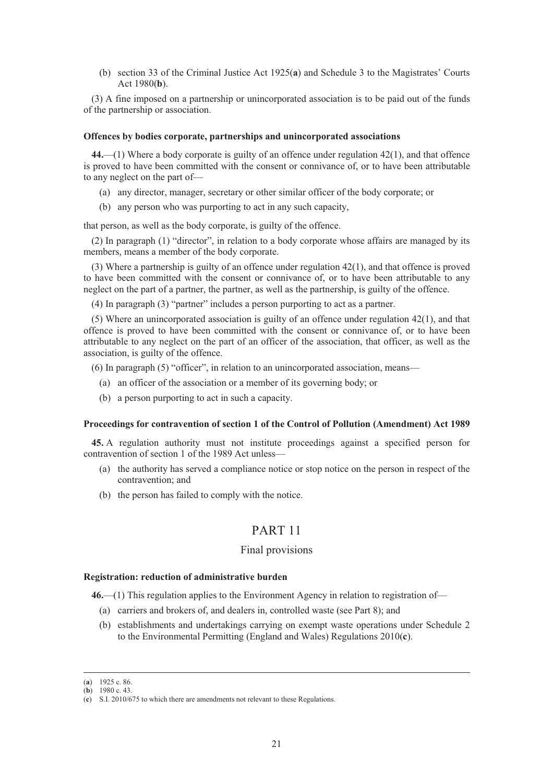(b) section 33 of the Criminal Justice Act 1925(**a**) and Schedule 3 to the Magistrates' Courts Act 1980(**b**).

(3) A fine imposed on a partnership or unincorporated association is to be paid out of the funds of the partnership or association.

### **Offences by bodies corporate, partnerships and unincorporated associations**

**44.**—(1) Where a body corporate is guilty of an offence under regulation 42(1), and that offence is proved to have been committed with the consent or connivance of, or to have been attributable to any neglect on the part of—

- (a) any director, manager, secretary or other similar officer of the body corporate; or
- (b) any person who was purporting to act in any such capacity,

that person, as well as the body corporate, is guilty of the offence.

(2) In paragraph (1) "director", in relation to a body corporate whose affairs are managed by its members, means a member of the body corporate.

(3) Where a partnership is guilty of an offence under regulation 42(1), and that offence is proved to have been committed with the consent or connivance of, or to have been attributable to any neglect on the part of a partner, the partner, as well as the partnership, is guilty of the offence.

(4) In paragraph (3) "partner" includes a person purporting to act as a partner.

(5) Where an unincorporated association is guilty of an offence under regulation 42(1), and that offence is proved to have been committed with the consent or connivance of, or to have been attributable to any neglect on the part of an officer of the association, that officer, as well as the association, is guilty of the offence.

(6) In paragraph (5) "officer", in relation to an unincorporated association, means—

- (a) an officer of the association or a member of its governing body; or
- (b) a person purporting to act in such a capacity.

### **Proceedings for contravention of section 1 of the Control of Pollution (Amendment) Act 1989**

**45.** A regulation authority must not institute proceedings against a specified person for contravention of section 1 of the 1989 Act unless—

- (a) the authority has served a compliance notice or stop notice on the person in respect of the contravention; and
- (b) the person has failed to comply with the notice.

# PART 11

### Final provisions

#### **Registration: reduction of administrative burden**

**46.**—(1) This regulation applies to the Environment Agency in relation to registration of—

- (a) carriers and brokers of, and dealers in, controlled waste (see Part 8); and
- (b) establishments and undertakings carrying on exempt waste operations under Schedule 2 to the Environmental Permitting (England and Wales) Regulations 2010(**c**).

 <sup>(</sup>**a**) 1925 c. 86.

<sup>(</sup>**b**) 1980 c. 43.

<sup>(</sup>**c**) S.I. 2010/675 to which there are amendments not relevant to these Regulations.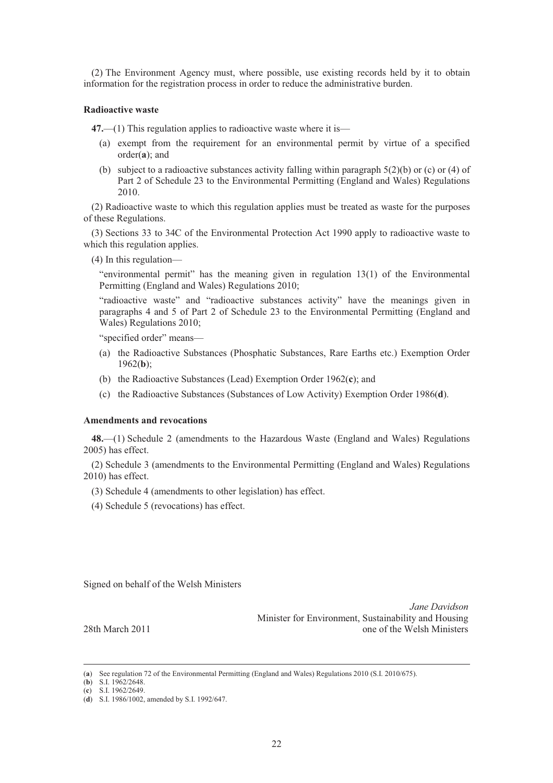(2) The Environment Agency must, where possible, use existing records held by it to obtain information for the registration process in order to reduce the administrative burden.

#### **Radioactive waste**

**47.**—(1) This regulation applies to radioactive waste where it is—

- (a) exempt from the requirement for an environmental permit by virtue of a specified order(**a**); and
- (b) subject to a radioactive substances activity falling within paragraph  $5(2)(b)$  or (c) or (4) of Part 2 of Schedule 23 to the Environmental Permitting (England and Wales) Regulations 2010.

(2) Radioactive waste to which this regulation applies must be treated as waste for the purposes of these Regulations.

(3) Sections 33 to 34C of the Environmental Protection Act 1990 apply to radioactive waste to which this regulation applies.

(4) In this regulation—

"environmental permit" has the meaning given in regulation 13(1) of the Environmental Permitting (England and Wales) Regulations 2010;

"radioactive waste" and "radioactive substances activity" have the meanings given in paragraphs 4 and 5 of Part 2 of Schedule 23 to the Environmental Permitting (England and Wales) Regulations 2010;

"specified order" means—

- (a) the Radioactive Substances (Phosphatic Substances, Rare Earths etc.) Exemption Order 1962(**b**);
- (b) the Radioactive Substances (Lead) Exemption Order 1962(**c**); and
- (c) the Radioactive Substances (Substances of Low Activity) Exemption Order 1986(**d**).

#### **Amendments and revocations**

**48.**—(1) Schedule 2 (amendments to the Hazardous Waste (England and Wales) Regulations 2005) has effect.

(2) Schedule 3 (amendments to the Environmental Permitting (England and Wales) Regulations 2010) has effect.

(3) Schedule 4 (amendments to other legislation) has effect.

(4) Schedule 5 (revocations) has effect.

Signed on behalf of the Welsh Ministers

*Jane Davidson*  Minister for Environment, Sustainability and Housing 28th March 2011 **Contract Contract Contract Contract Contract Contract Contract Contract Contract Contract Contract Contract Contract Contract Contract Contract Contract Contract Contract Contract Contract Contract Contrac** 

 <sup>(</sup>**a**) See regulation 72 of the Environmental Permitting (England and Wales) Regulations 2010 (S.I. 2010/675).

<sup>(</sup>**b**) S.I. 1962/2648.

<sup>(</sup>**c**) S.I. 1962/2649.

<sup>(</sup>**d**) S.I. 1986/1002, amended by S.I. 1992/647.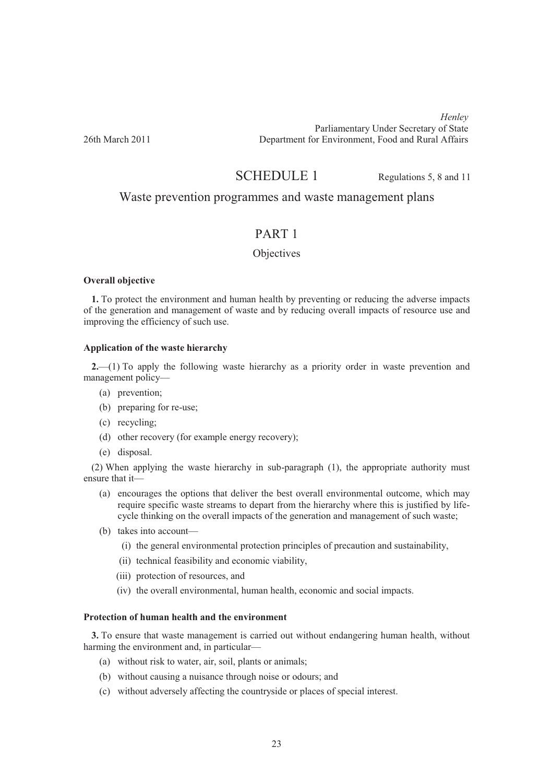*Henley* Parliamentary Under Secretary of State<br>
Penartment for Environment Food and Rural Affairs Department for Environment, Food and Rural Affairs

# SCHEDULE 1 Regulations 5, 8 and 11

# Waste prevention programmes and waste management plans

# PART 1

# **Objectives**

### **Overall objective**

**1.** To protect the environment and human health by preventing or reducing the adverse impacts of the generation and management of waste and by reducing overall impacts of resource use and improving the efficiency of such use.

# **Application of the waste hierarchy**

**2.**—(1) To apply the following waste hierarchy as a priority order in waste prevention and management policy—

- (a) prevention;
- (b) preparing for re-use;
- (c) recycling;
- (d) other recovery (for example energy recovery);
- (e) disposal.

(2) When applying the waste hierarchy in sub-paragraph (1), the appropriate authority must ensure that it—

- (a) encourages the options that deliver the best overall environmental outcome, which may require specific waste streams to depart from the hierarchy where this is justified by lifecycle thinking on the overall impacts of the generation and management of such waste;
- (b) takes into account—
	- (i) the general environmental protection principles of precaution and sustainability,
	- (ii) technical feasibility and economic viability,
	- (iii) protection of resources, and
	- (iv) the overall environmental, human health, economic and social impacts.

# **Protection of human health and the environment**

**3.** To ensure that waste management is carried out without endangering human health, without harming the environment and, in particular-

- (a) without risk to water, air, soil, plants or animals;
- (b) without causing a nuisance through noise or odours; and
- (c) without adversely affecting the countryside or places of special interest.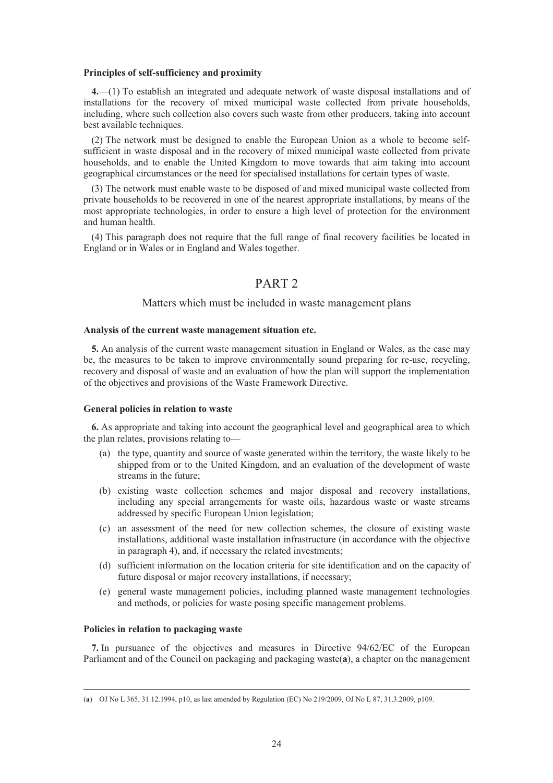#### **Principles of self-sufficiency and proximity**

**4.**—(1) To establish an integrated and adequate network of waste disposal installations and of installations for the recovery of mixed municipal waste collected from private households, including, where such collection also covers such waste from other producers, taking into account best available techniques.

(2) The network must be designed to enable the European Union as a whole to become selfsufficient in waste disposal and in the recovery of mixed municipal waste collected from private households, and to enable the United Kingdom to move towards that aim taking into account geographical circumstances or the need for specialised installations for certain types of waste.

(3) The network must enable waste to be disposed of and mixed municipal waste collected from private households to be recovered in one of the nearest appropriate installations, by means of the most appropriate technologies, in order to ensure a high level of protection for the environment and human health.

(4) This paragraph does not require that the full range of final recovery facilities be located in England or in Wales or in England and Wales together.

# PART 2

# Matters which must be included in waste management plans

### **Analysis of the current waste management situation etc.**

**5.** An analysis of the current waste management situation in England or Wales, as the case may be, the measures to be taken to improve environmentally sound preparing for re-use, recycling, recovery and disposal of waste and an evaluation of how the plan will support the implementation of the objectives and provisions of the Waste Framework Directive.

#### **General policies in relation to waste**

**6.** As appropriate and taking into account the geographical level and geographical area to which the plan relates, provisions relating to—

- (a) the type, quantity and source of waste generated within the territory, the waste likely to be shipped from or to the United Kingdom, and an evaluation of the development of waste streams in the future:
- (b) existing waste collection schemes and major disposal and recovery installations, including any special arrangements for waste oils, hazardous waste or waste streams addressed by specific European Union legislation;
- (c) an assessment of the need for new collection schemes, the closure of existing waste installations, additional waste installation infrastructure (in accordance with the objective in paragraph 4), and, if necessary the related investments;
- (d) sufficient information on the location criteria for site identification and on the capacity of future disposal or major recovery installations, if necessary;
- (e) general waste management policies, including planned waste management technologies and methods, or policies for waste posing specific management problems.

### **Policies in relation to packaging waste**

**7.** In pursuance of the objectives and measures in Directive 94/62/EC of the European Parliament and of the Council on packaging and packaging waste(**a**), a chapter on the management

 <sup>(</sup>**a**) OJ No L 365, 31.12.1994, p10, as last amended by Regulation (EC) No 219/2009, OJ No L 87, 31.3.2009, p109.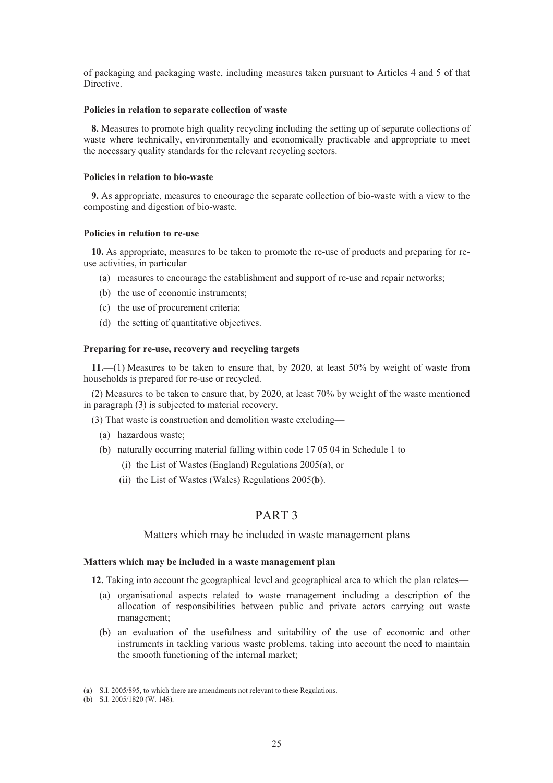of packaging and packaging waste, including measures taken pursuant to Articles 4 and 5 of that Directive.

### **Policies in relation to separate collection of waste**

**8.** Measures to promote high quality recycling including the setting up of separate collections of waste where technically, environmentally and economically practicable and appropriate to meet the necessary quality standards for the relevant recycling sectors.

# **Policies in relation to bio-waste**

**9.** As appropriate, measures to encourage the separate collection of bio-waste with a view to the composting and digestion of bio-waste.

### **Policies in relation to re-use**

**10.** As appropriate, measures to be taken to promote the re-use of products and preparing for reuse activities, in particular—

- (a) measures to encourage the establishment and support of re-use and repair networks;
- (b) the use of economic instruments;
- (c) the use of procurement criteria;
- (d) the setting of quantitative objectives.

### **Preparing for re-use, recovery and recycling targets**

**11.**—(1) Measures to be taken to ensure that, by 2020, at least 50% by weight of waste from households is prepared for re-use or recycled.

(2) Measures to be taken to ensure that, by 2020, at least 70% by weight of the waste mentioned in paragraph (3) is subjected to material recovery.

- (3) That waste is construction and demolition waste excluding—
	- (a) hazardous waste;
	- (b) naturally occurring material falling within code 17 05 04 in Schedule 1 to—
		- (i) the List of Wastes (England) Regulations 2005(**a**), or
		- (ii) the List of Wastes (Wales) Regulations 2005(**b**).

# PART 3

# Matters which may be included in waste management plans

### **Matters which may be included in a waste management plan**

**12.** Taking into account the geographical level and geographical area to which the plan relates—

- (a) organisational aspects related to waste management including a description of the allocation of responsibilities between public and private actors carrying out waste management;
- (b) an evaluation of the usefulness and suitability of the use of economic and other instruments in tackling various waste problems, taking into account the need to maintain the smooth functioning of the internal market;

 <sup>(</sup>**a**) S.I. 2005/895, to which there are amendments not relevant to these Regulations.

<sup>(</sup>**b**) S.I. 2005/1820 (W. 148).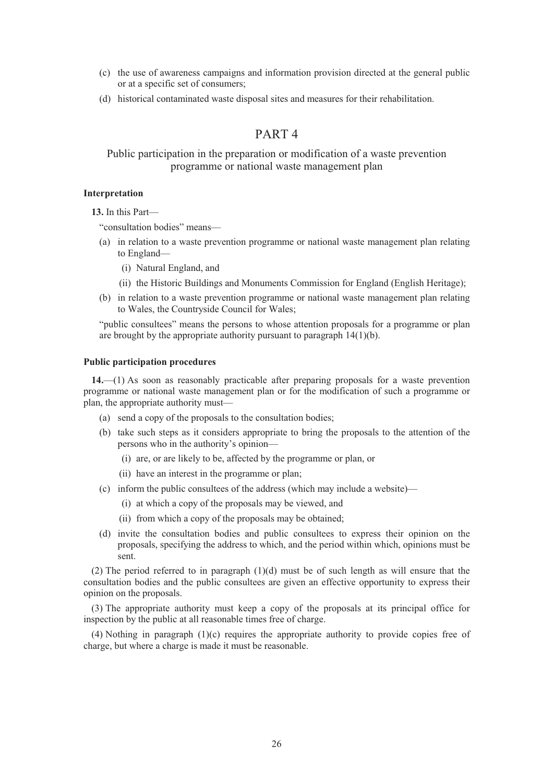- (c) the use of awareness campaigns and information provision directed at the general public or at a specific set of consumers;
- (d) historical contaminated waste disposal sites and measures for their rehabilitation.

# PART 4

# Public participation in the preparation or modification of a waste prevention programme or national waste management plan

### **Interpretation**

**13.** In this Part—

"consultation bodies" means—

- (a) in relation to a waste prevention programme or national waste management plan relating to England—
	- (i) Natural England, and
	- (ii) the Historic Buildings and Monuments Commission for England (English Heritage);
- (b) in relation to a waste prevention programme or national waste management plan relating to Wales, the Countryside Council for Wales;

"public consultees" means the persons to whose attention proposals for a programme or plan are brought by the appropriate authority pursuant to paragraph 14(1)(b).

### **Public participation procedures**

**14.**—(1) As soon as reasonably practicable after preparing proposals for a waste prevention programme or national waste management plan or for the modification of such a programme or plan, the appropriate authority must—

- (a) send a copy of the proposals to the consultation bodies;
- (b) take such steps as it considers appropriate to bring the proposals to the attention of the persons who in the authority's opinion—
	- (i) are, or are likely to be, affected by the programme or plan, or
	- (ii) have an interest in the programme or plan;
- (c) inform the public consultees of the address (which may include a website)—
	- (i) at which a copy of the proposals may be viewed, and
	- (ii) from which a copy of the proposals may be obtained;
- (d) invite the consultation bodies and public consultees to express their opinion on the proposals, specifying the address to which, and the period within which, opinions must be sent.

(2) The period referred to in paragraph (1)(d) must be of such length as will ensure that the consultation bodies and the public consultees are given an effective opportunity to express their opinion on the proposals.

(3) The appropriate authority must keep a copy of the proposals at its principal office for inspection by the public at all reasonable times free of charge.

(4) Nothing in paragraph (1)(c) requires the appropriate authority to provide copies free of charge, but where a charge is made it must be reasonable.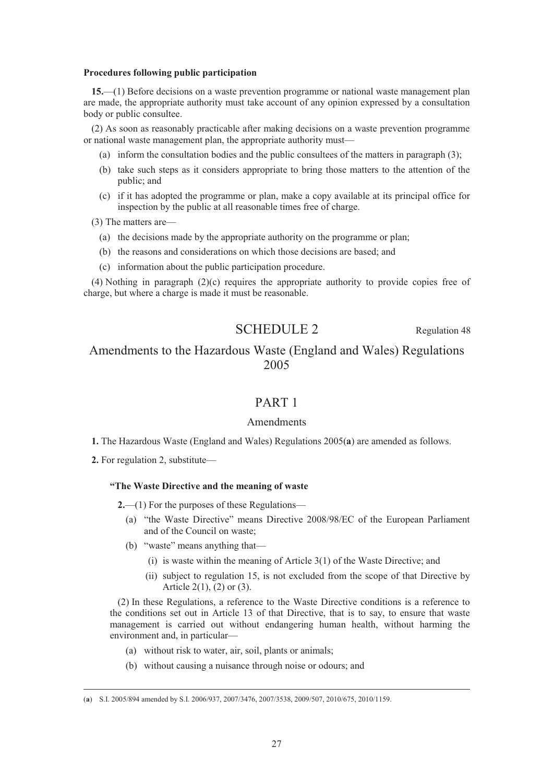#### **Procedures following public participation**

**15.**—(1) Before decisions on a waste prevention programme or national waste management plan are made, the appropriate authority must take account of any opinion expressed by a consultation body or public consultee.

(2) As soon as reasonably practicable after making decisions on a waste prevention programme or national waste management plan, the appropriate authority must—

- (a) inform the consultation bodies and the public consultees of the matters in paragraph (3);
- (b) take such steps as it considers appropriate to bring those matters to the attention of the public; and
- (c) if it has adopted the programme or plan, make a copy available at its principal office for inspection by the public at all reasonable times free of charge.
- (3) The matters are—
	- (a) the decisions made by the appropriate authority on the programme or plan;
	- (b) the reasons and considerations on which those decisions are based; and
	- (c) information about the public participation procedure.

(4) Nothing in paragraph (2)(c) requires the appropriate authority to provide copies free of charge, but where a charge is made it must be reasonable.

SCHEDULE 2 Regulation 48

# Amendments to the Hazardous Waste (England and Wales) Regulations 2005

# PART 1

# Amendments

- **1.** The Hazardous Waste (England and Wales) Regulations 2005(**a**) are amended as follows.
- **2.** For regulation 2, substitute—

# **"The Waste Directive and the meaning of waste**

**2.**—(1) For the purposes of these Regulations—

- (a) "the Waste Directive" means Directive 2008/98/EC of the European Parliament and of the Council on waste;
- (b) "waste" means anything that—
	- (i) is waste within the meaning of Article 3(1) of the Waste Directive; and
	- (ii) subject to regulation 15, is not excluded from the scope of that Directive by Article 2(1), (2) or (3).

(2) In these Regulations, a reference to the Waste Directive conditions is a reference to the conditions set out in Article 13 of that Directive, that is to say, to ensure that waste management is carried out without endangering human health, without harming the environment and, in particular—

- (a) without risk to water, air, soil, plants or animals;
- (b) without causing a nuisance through noise or odours; and

 <sup>(</sup>**a**) S.I. 2005/894 amended by S.I. 2006/937, 2007/3476, 2007/3538, 2009/507, 2010/675, 2010/1159.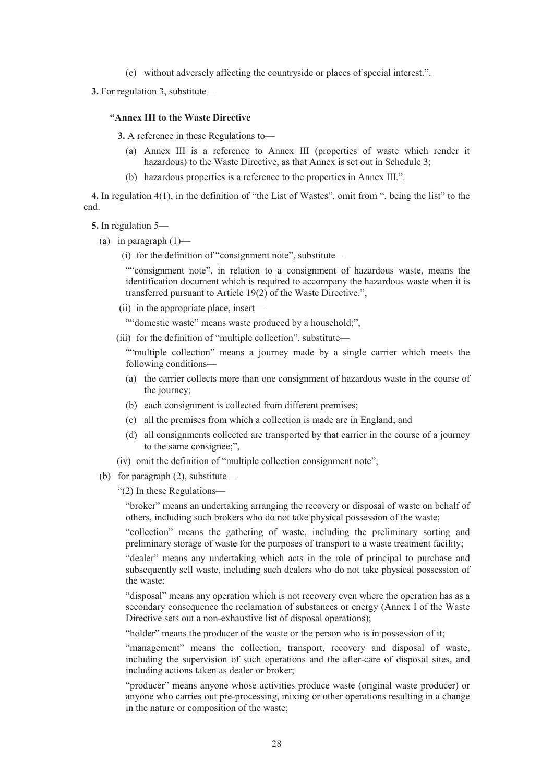(c) without adversely affecting the countryside or places of special interest.".

**3.** For regulation 3, substitute—

### **"Annex III to the Waste Directive**

**3.** A reference in these Regulations to—

- (a) Annex III is a reference to Annex III (properties of waste which render it hazardous) to the Waste Directive, as that Annex is set out in Schedule 3;
- (b) hazardous properties is a reference to the properties in Annex III.".

**4.** In regulation 4(1), in the definition of "the List of Wastes", omit from ", being the list" to the end.

- **5.** In regulation 5—
	- (a) in paragraph  $(1)$ 
		- (i) for the definition of "consignment note", substitute—

""consignment note", in relation to a consignment of hazardous waste, means the identification document which is required to accompany the hazardous waste when it is transferred pursuant to Article 19(2) of the Waste Directive.",

(ii) in the appropriate place, insert—

""domestic waste" means waste produced by a household;",

(iii) for the definition of "multiple collection", substitute—

""multiple collection" means a journey made by a single carrier which meets the following conditions—

- (a) the carrier collects more than one consignment of hazardous waste in the course of the journey;
- (b) each consignment is collected from different premises;
- (c) all the premises from which a collection is made are in England; and
- (d) all consignments collected are transported by that carrier in the course of a journey to the same consignee;",
- (iv) omit the definition of "multiple collection consignment note";
- (b) for paragraph (2), substitute—

"(2) In these Regulations—

"broker" means an undertaking arranging the recovery or disposal of waste on behalf of others, including such brokers who do not take physical possession of the waste;

"collection" means the gathering of waste, including the preliminary sorting and preliminary storage of waste for the purposes of transport to a waste treatment facility;

"dealer" means any undertaking which acts in the role of principal to purchase and subsequently sell waste, including such dealers who do not take physical possession of the waste;

"disposal" means any operation which is not recovery even where the operation has as a secondary consequence the reclamation of substances or energy (Annex I of the Waste Directive sets out a non-exhaustive list of disposal operations);

"holder" means the producer of the waste or the person who is in possession of it;

"management" means the collection, transport, recovery and disposal of waste, including the supervision of such operations and the after-care of disposal sites, and including actions taken as dealer or broker;

"producer" means anyone whose activities produce waste (original waste producer) or anyone who carries out pre-processing, mixing or other operations resulting in a change in the nature or composition of the waste;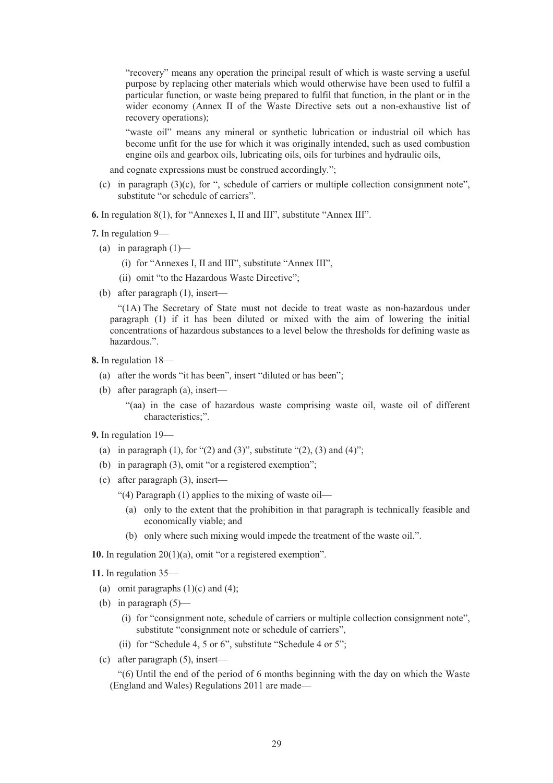"recovery" means any operation the principal result of which is waste serving a useful purpose by replacing other materials which would otherwise have been used to fulfil a particular function, or waste being prepared to fulfil that function, in the plant or in the wider economy (Annex II of the Waste Directive sets out a non-exhaustive list of recovery operations);

"waste oil" means any mineral or synthetic lubrication or industrial oil which has become unfit for the use for which it was originally intended, such as used combustion engine oils and gearbox oils, lubricating oils, oils for turbines and hydraulic oils,

and cognate expressions must be construed accordingly.";

- (c) in paragraph  $(3)(c)$ , for ", schedule of carriers or multiple collection consignment note", substitute "or schedule of carriers".
- **6.** In regulation 8(1), for "Annexes I, II and III", substitute "Annex III".
- **7.** In regulation 9—
	- (a) in paragraph  $(1)$ 
		- (i) for "Annexes I, II and III", substitute "Annex III",
		- (ii) omit "to the Hazardous Waste Directive";
	- (b) after paragraph (1), insert—

"(1A) The Secretary of State must not decide to treat waste as non-hazardous under paragraph (1) if it has been diluted or mixed with the aim of lowering the initial concentrations of hazardous substances to a level below the thresholds for defining waste as hazardous.".

- **8.** In regulation 18—
	- (a) after the words "it has been", insert "diluted or has been";
	- (b) after paragraph (a), insert—

"(aa) in the case of hazardous waste comprising waste oil, waste oil of different characteristics;".

#### **9.** In regulation 19—

- (a) in paragraph (1), for "(2) and (3)", substitute "(2), (3) and (4)";
- (b) in paragraph (3), omit "or a registered exemption";
- (c) after paragraph (3), insert—
	- "(4) Paragraph (1) applies to the mixing of waste oil—
		- (a) only to the extent that the prohibition in that paragraph is technically feasible and economically viable; and
		- (b) only where such mixing would impede the treatment of the waste oil.".

**10.** In regulation 20(1)(a), omit "or a registered exemption".

**11.** In regulation 35—

- (a) omit paragraphs  $(1)(c)$  and  $(4)$ ;
- (b) in paragraph  $(5)$ 
	- (i) for "consignment note, schedule of carriers or multiple collection consignment note", substitute "consignment note or schedule of carriers",
	- (ii) for "Schedule 4, 5 or 6", substitute "Schedule 4 or 5";
- (c) after paragraph (5), insert—

"(6) Until the end of the period of 6 months beginning with the day on which the Waste (England and Wales) Regulations 2011 are made—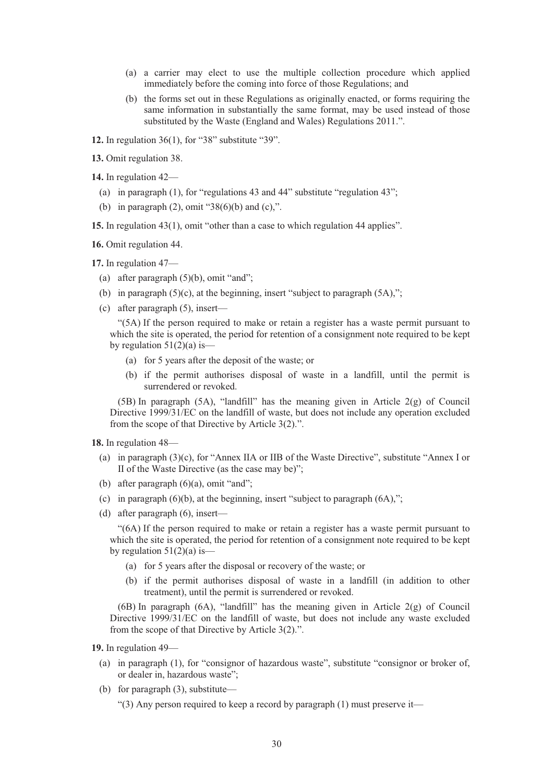- (a) a carrier may elect to use the multiple collection procedure which applied immediately before the coming into force of those Regulations; and
- (b) the forms set out in these Regulations as originally enacted, or forms requiring the same information in substantially the same format, may be used instead of those substituted by the Waste (England and Wales) Regulations 2011.".

**12.** In regulation 36(1), for "38" substitute "39".

**13.** Omit regulation 38.

**14.** In regulation 42—

- (a) in paragraph (1), for "regulations 43 and 44" substitute "regulation 43";
- (b) in paragraph  $(2)$ , omit "38 $(6)(b)$  and  $(c)$ ,".

**15.** In regulation 43(1), omit "other than a case to which regulation 44 applies".

**16.** Omit regulation 44.

**17.** In regulation 47—

- (a) after paragraph  $(5)(b)$ , omit "and";
- (b) in paragraph  $(5)(c)$ , at the beginning, insert "subject to paragraph  $(5A)$ ,";
- (c) after paragraph (5), insert—

"(5A) If the person required to make or retain a register has a waste permit pursuant to which the site is operated, the period for retention of a consignment note required to be kept by regulation  $51(2)(a)$  is—

- (a) for 5 years after the deposit of the waste; or
- (b) if the permit authorises disposal of waste in a landfill, until the permit is surrendered or revoked.

 $(5B)$  In paragraph  $(5A)$ , "landfill" has the meaning given in Article  $2(g)$  of Council Directive 1999/31/EC on the landfill of waste, but does not include any operation excluded from the scope of that Directive by Article 3(2).".

**18.** In regulation 48—

- (a) in paragraph (3)(c), for "Annex IIA or IIB of the Waste Directive", substitute "Annex I or II of the Waste Directive (as the case may be)";
- (b) after paragraph (6)(a), omit "and";
- (c) in paragraph  $(6)(b)$ , at the beginning, insert "subject to paragraph  $(6A)$ ,";
- (d) after paragraph (6), insert—

"(6A) If the person required to make or retain a register has a waste permit pursuant to which the site is operated, the period for retention of a consignment note required to be kept by regulation  $51(2)(a)$  is-

- (a) for 5 years after the disposal or recovery of the waste; or
- (b) if the permit authorises disposal of waste in a landfill (in addition to other treatment), until the permit is surrendered or revoked.

 $(6B)$  In paragraph  $(6A)$ , "landfill" has the meaning given in Article 2(g) of Council Directive 1999/31/EC on the landfill of waste, but does not include any waste excluded from the scope of that Directive by Article 3(2).".

**19.** In regulation 49—

- (a) in paragraph (1), for "consignor of hazardous waste", substitute "consignor or broker of, or dealer in, hazardous waste";
- (b) for paragraph (3), substitute—

"(3) Any person required to keep a record by paragraph (1) must preserve it—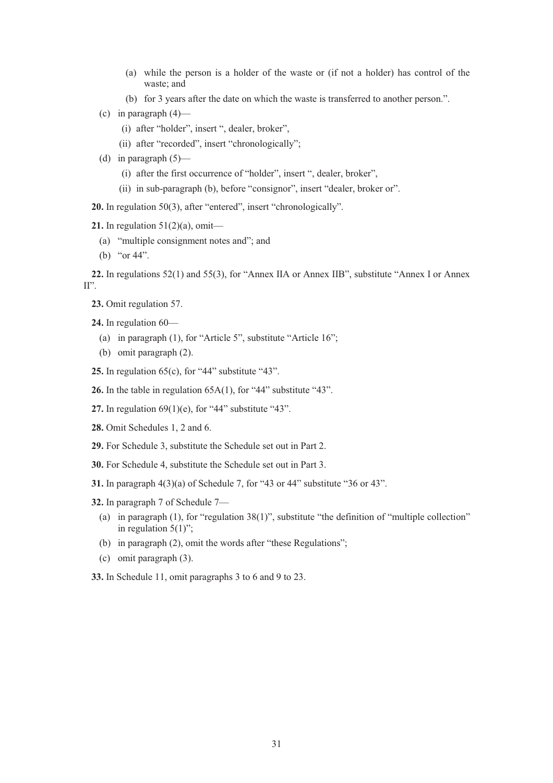- (a) while the person is a holder of the waste or (if not a holder) has control of the waste; and
- (b) for 3 years after the date on which the waste is transferred to another person.".
- (c) in paragraph  $(4)$ 
	- (i) after "holder", insert ", dealer, broker",
	- (ii) after "recorded", insert "chronologically";
- (d) in paragraph  $(5)$ 
	- (i) after the first occurrence of "holder", insert ", dealer, broker",
	- (ii) in sub-paragraph (b), before "consignor", insert "dealer, broker or".

**20.** In regulation 50(3), after "entered", insert "chronologically".

**21.** In regulation 51(2)(a), omit—

- (a) "multiple consignment notes and"; and
- (b) "or 44".

**22.** In regulations 52(1) and 55(3), for "Annex IIA or Annex IIB", substitute "Annex I or Annex  $II$ <sup>"</sup>.

**23.** Omit regulation 57.

**24.** In regulation 60—

- (a) in paragraph (1), for "Article 5", substitute "Article 16";
- (b) omit paragraph (2).

**25.** In regulation 65(c), for "44" substitute "43".

- **26.** In the table in regulation 65A(1), for "44" substitute "43".
- **27.** In regulation 69(1)(e), for "44" substitute "43".
- **28.** Omit Schedules 1, 2 and 6.
- **29.** For Schedule 3, substitute the Schedule set out in Part 2.
- **30.** For Schedule 4, substitute the Schedule set out in Part 3.
- **31.** In paragraph 4(3)(a) of Schedule 7, for "43 or 44" substitute "36 or 43".
- **32.** In paragraph 7 of Schedule 7—
	- (a) in paragraph (1), for "regulation 38(1)", substitute "the definition of "multiple collection" in regulation  $5(1)$ ";
	- (b) in paragraph (2), omit the words after "these Regulations";
	- (c) omit paragraph (3).

**33.** In Schedule 11, omit paragraphs 3 to 6 and 9 to 23.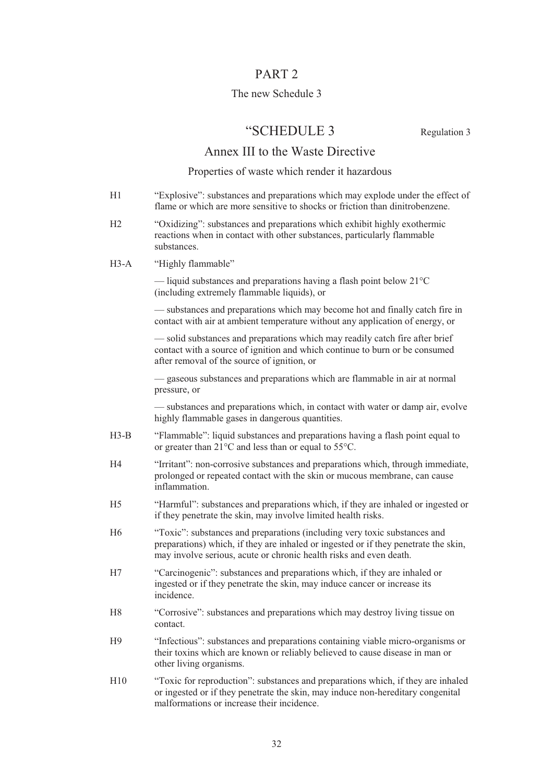# PART 2

# The new Schedule 3

# "SCHEDULE 3 Regulation 3

# Annex III to the Waste Directive

# Properties of waste which render it hazardous

- H1 "Explosive": substances and preparations which may explode under the effect of flame or which are more sensitive to shocks or friction than dinitrobenzene.
- H2 "Oxidizing": substances and preparations which exhibit highly exothermic reactions when in contact with other substances, particularly flammable substances.
- H3-A "Highly flammable"

— liquid substances and preparations having a flash point below  $21^{\circ}$ C (including extremely flammable liquids), or

 — substances and preparations which may become hot and finally catch fire in contact with air at ambient temperature without any application of energy, or

 — solid substances and preparations which may readily catch fire after brief contact with a source of ignition and which continue to burn or be consumed after removal of the source of ignition, or

 — gaseous substances and preparations which are flammable in air at normal pressure, or

 — substances and preparations which, in contact with water or damp air, evolve highly flammable gases in dangerous quantities.

- H3-B "Flammable": liquid substances and preparations having a flash point equal to or greater than 21°C and less than or equal to 55°C.
- H4 "Irritant": non-corrosive substances and preparations which, through immediate, prolonged or repeated contact with the skin or mucous membrane, can cause inflammation.
- H5 "Harmful": substances and preparations which, if they are inhaled or ingested or if they penetrate the skin, may involve limited health risks.
- H6 "Toxic": substances and preparations (including very toxic substances and preparations) which, if they are inhaled or ingested or if they penetrate the skin, may involve serious, acute or chronic health risks and even death.
- H7 "Carcinogenic": substances and preparations which, if they are inhaled or ingested or if they penetrate the skin, may induce cancer or increase its incidence.
- H8 "Corrosive": substances and preparations which may destroy living tissue on contact.
- H9 "Infectious": substances and preparations containing viable micro-organisms or their toxins which are known or reliably believed to cause disease in man or other living organisms.
- H10 "Toxic for reproduction": substances and preparations which, if they are inhaled or ingested or if they penetrate the skin, may induce non-hereditary congenital malformations or increase their incidence.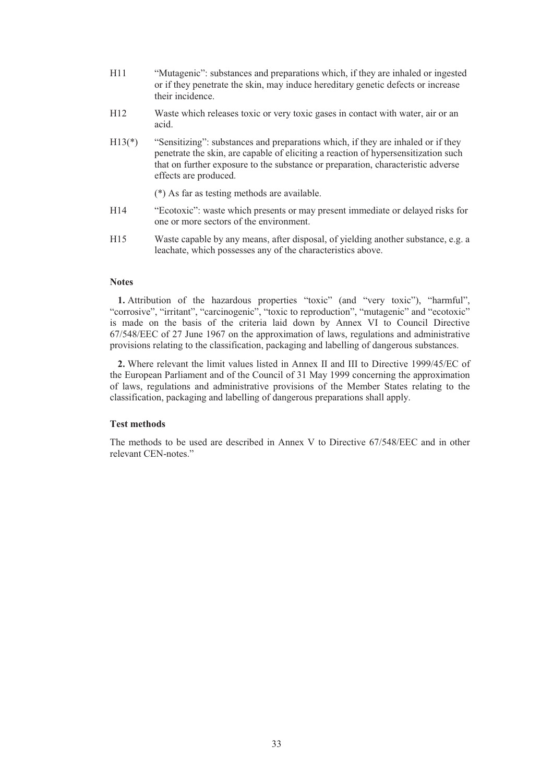- H11 "Mutagenic": substances and preparations which, if they are inhaled or ingested or if they penetrate the skin, may induce hereditary genetic defects or increase their incidence.
- H12 Waste which releases toxic or very toxic gases in contact with water, air or an acid.
- H13(\*) "Sensitizing": substances and preparations which, if they are inhaled or if they penetrate the skin, are capable of eliciting a reaction of hypersensitization such that on further exposure to the substance or preparation, characteristic adverse effects are produced.

(\*) As far as testing methods are available.

- H14 "Ecotoxic": waste which presents or may present immediate or delayed risks for one or more sectors of the environment.
- H15 Waste capable by any means, after disposal, of yielding another substance, e.g. a leachate, which possesses any of the characteristics above.

# **Notes**

**1.** Attribution of the hazardous properties "toxic" (and "very toxic"), "harmful", "corrosive", "irritant", "carcinogenic", "toxic to reproduction", "mutagenic" and "ecotoxic" is made on the basis of the criteria laid down by Annex VI to Council Directive 67/548/EEC of 27 June 1967 on the approximation of laws, regulations and administrative provisions relating to the classification, packaging and labelling of dangerous substances.

**2.** Where relevant the limit values listed in Annex II and III to Directive 1999/45/EC of the European Parliament and of the Council of 31 May 1999 concerning the approximation of laws, regulations and administrative provisions of the Member States relating to the classification, packaging and labelling of dangerous preparations shall apply.

### **Test methods**

The methods to be used are described in Annex V to Directive 67/548/EEC and in other relevant CEN-notes."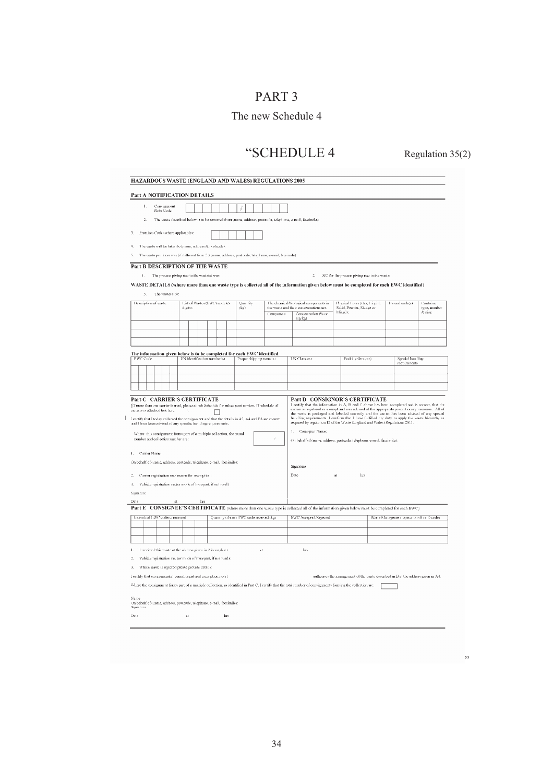# PART 3

# The new Schedule 4

# "SCHEDULE 4 Regulation 35(2)

"

| Consignment<br>Note Code:                                                                                                                                                                                                                                                                                                                                           |          |     |                                                                                                                                                                                                                                                                                    |                                         |                         |                                                                                                          |                                                                                                                                                                                |                                           |                                                                                              |
|---------------------------------------------------------------------------------------------------------------------------------------------------------------------------------------------------------------------------------------------------------------------------------------------------------------------------------------------------------------------|----------|-----|------------------------------------------------------------------------------------------------------------------------------------------------------------------------------------------------------------------------------------------------------------------------------------|-----------------------------------------|-------------------------|----------------------------------------------------------------------------------------------------------|--------------------------------------------------------------------------------------------------------------------------------------------------------------------------------|-------------------------------------------|----------------------------------------------------------------------------------------------|
|                                                                                                                                                                                                                                                                                                                                                                     |          |     |                                                                                                                                                                                                                                                                                    |                                         |                         |                                                                                                          |                                                                                                                                                                                |                                           |                                                                                              |
| $\overline{2}$                                                                                                                                                                                                                                                                                                                                                      |          |     |                                                                                                                                                                                                                                                                                    |                                         |                         | The waste described helow is to he removed from (name, address, postcode, telephone, e-mail, facsimile): |                                                                                                                                                                                |                                           |                                                                                              |
| Premises Code (where applicable):<br>3.                                                                                                                                                                                                                                                                                                                             |          |     |                                                                                                                                                                                                                                                                                    |                                         |                         |                                                                                                          |                                                                                                                                                                                |                                           |                                                                                              |
| The waste will be taken to (name, address & postcode):                                                                                                                                                                                                                                                                                                              |          |     |                                                                                                                                                                                                                                                                                    |                                         |                         |                                                                                                          |                                                                                                                                                                                |                                           |                                                                                              |
| The waste producer was (if different from 2.) trame, address, postcode, telephone, e-mail, facsimile):                                                                                                                                                                                                                                                              |          |     |                                                                                                                                                                                                                                                                                    |                                         |                         |                                                                                                          |                                                                                                                                                                                |                                           |                                                                                              |
| Part B DESCRIPTION OF THE WASTE                                                                                                                                                                                                                                                                                                                                     |          |     |                                                                                                                                                                                                                                                                                    |                                         |                         |                                                                                                          |                                                                                                                                                                                |                                           |                                                                                              |
| The process giving rise to the waste(s) was<br>t.                                                                                                                                                                                                                                                                                                                   |          |     |                                                                                                                                                                                                                                                                                    |                                         |                         | $\hat{z}$                                                                                                | SIC for the process giving rise to the waste:                                                                                                                                  |                                           |                                                                                              |
|                                                                                                                                                                                                                                                                                                                                                                     |          |     |                                                                                                                                                                                                                                                                                    |                                         |                         |                                                                                                          | WASTE DETAILS (where more than one waste type is collected all of the information given below must be completed for each EWC identified)                                       |                                           |                                                                                              |
| 3<br>The waste(s) is:                                                                                                                                                                                                                                                                                                                                               |          |     |                                                                                                                                                                                                                                                                                    |                                         |                         |                                                                                                          |                                                                                                                                                                                |                                           |                                                                                              |
| Description of waste                                                                                                                                                                                                                                                                                                                                                | digits): |     | List of Wastes (EWC) code (6                                                                                                                                                                                                                                                       | Quantity                                |                         | The chemical/hiological components in<br>the waste and their concentrations are:                         | Physical Form (Gas, Liquid,<br>Solid, Powder, Sludge or                                                                                                                        | Hazard code(s):                           | Container                                                                                    |
|                                                                                                                                                                                                                                                                                                                                                                     |          |     |                                                                                                                                                                                                                                                                                    | (kg):                                   | Component               | Concentration (% or                                                                                      | Mixedia                                                                                                                                                                        |                                           | type, number<br>& size:                                                                      |
|                                                                                                                                                                                                                                                                                                                                                                     |          |     |                                                                                                                                                                                                                                                                                    |                                         |                         | ma/ka)                                                                                                   |                                                                                                                                                                                |                                           |                                                                                              |
|                                                                                                                                                                                                                                                                                                                                                                     |          |     |                                                                                                                                                                                                                                                                                    |                                         |                         |                                                                                                          |                                                                                                                                                                                |                                           |                                                                                              |
|                                                                                                                                                                                                                                                                                                                                                                     |          |     |                                                                                                                                                                                                                                                                                    |                                         |                         |                                                                                                          |                                                                                                                                                                                |                                           |                                                                                              |
| The information given below is to be completed for each EWC identified                                                                                                                                                                                                                                                                                              |          |     |                                                                                                                                                                                                                                                                                    |                                         |                         |                                                                                                          |                                                                                                                                                                                |                                           |                                                                                              |
| <b>EWC Code</b>                                                                                                                                                                                                                                                                                                                                                     |          |     | UN identification number(s)                                                                                                                                                                                                                                                        |                                         | Proper shipping name(s) | <b>UN Class(es)</b>                                                                                      | Packing Grounts)                                                                                                                                                               | Special handling<br>requirements          |                                                                                              |
|                                                                                                                                                                                                                                                                                                                                                                     |          |     |                                                                                                                                                                                                                                                                                    |                                         |                         |                                                                                                          |                                                                                                                                                                                |                                           |                                                                                              |
|                                                                                                                                                                                                                                                                                                                                                                     |          |     |                                                                                                                                                                                                                                                                                    |                                         |                         |                                                                                                          |                                                                                                                                                                                |                                           |                                                                                              |
|                                                                                                                                                                                                                                                                                                                                                                     |          |     |                                                                                                                                                                                                                                                                                    |                                         |                         |                                                                                                          |                                                                                                                                                                                |                                           |                                                                                              |
|                                                                                                                                                                                                                                                                                                                                                                     |          |     | I certify that I today collected the consignment and that the details in A2, A4 and B3 are correct<br>and I have been advised of any specific handling requirements.<br>Where this consignment forms part of a multiple collection, the round<br>number and collection number are: |                                         |                         |                                                                                                          |                                                                                                                                                                                |                                           |                                                                                              |
|                                                                                                                                                                                                                                                                                                                                                                     |          |     |                                                                                                                                                                                                                                                                                    |                                         |                         | I.<br>Consignor Name:                                                                                    | handling requirements. I confirm that I have fulfilled my duty to apply the waste hierarchy as<br>required by regulation 12 of the Waste (England and Wales) Regulations 2011. |                                           |                                                                                              |
|                                                                                                                                                                                                                                                                                                                                                                     |          |     |                                                                                                                                                                                                                                                                                    |                                         |                         |                                                                                                          | On behalf of (name, address, postcode, telephone, e-mail, facsimile):                                                                                                          |                                           |                                                                                              |
| Carrier Name:                                                                                                                                                                                                                                                                                                                                                       |          |     |                                                                                                                                                                                                                                                                                    |                                         |                         |                                                                                                          |                                                                                                                                                                                |                                           |                                                                                              |
|                                                                                                                                                                                                                                                                                                                                                                     |          |     |                                                                                                                                                                                                                                                                                    |                                         |                         | Signature                                                                                                |                                                                                                                                                                                |                                           |                                                                                              |
| Carrier registration no./ reason for exemption:                                                                                                                                                                                                                                                                                                                     |          |     |                                                                                                                                                                                                                                                                                    |                                         |                         | Date                                                                                                     | <b>at</b><br>lus                                                                                                                                                               |                                           |                                                                                              |
| Vehicle registration no tor mode of transport, if not road):                                                                                                                                                                                                                                                                                                        |          |     |                                                                                                                                                                                                                                                                                    |                                         |                         |                                                                                                          |                                                                                                                                                                                |                                           |                                                                                              |
|                                                                                                                                                                                                                                                                                                                                                                     |          |     |                                                                                                                                                                                                                                                                                    |                                         |                         |                                                                                                          |                                                                                                                                                                                |                                           |                                                                                              |
|                                                                                                                                                                                                                                                                                                                                                                     |          | hrs |                                                                                                                                                                                                                                                                                    |                                         |                         |                                                                                                          | Part E CONSIGNEE'S CERTIFICATE (where more than one waste type is collected all of the information given below must be completed for each EWC)                                 |                                           |                                                                                              |
|                                                                                                                                                                                                                                                                                                                                                                     |          |     |                                                                                                                                                                                                                                                                                    | Quantity of each EWC code received (kg) |                         | <b>EWC</b> Accepted/Rejected                                                                             |                                                                                                                                                                                | Waste Management operation (R or I) code) |                                                                                              |
| On behalf of (name, address, postcode, telephone, e-mail, facsimile):<br>Ż.<br>3.<br>Signature<br>Date<br>Individual EWC oodets) received                                                                                                                                                                                                                           |          |     |                                                                                                                                                                                                                                                                                    |                                         |                         |                                                                                                          |                                                                                                                                                                                |                                           | the waste is packaged and labelled correctly and the carrier has been advised of any special |
|                                                                                                                                                                                                                                                                                                                                                                     |          |     |                                                                                                                                                                                                                                                                                    |                                         |                         |                                                                                                          |                                                                                                                                                                                |                                           |                                                                                              |
| I received this waste at the address given in A4 on (date)                                                                                                                                                                                                                                                                                                          |          |     |                                                                                                                                                                                                                                                                                    |                                         | a1                      | lins                                                                                                     |                                                                                                                                                                                |                                           |                                                                                              |
| Vehicle registration no. tor mode of transport, if not road):                                                                                                                                                                                                                                                                                                       |          |     |                                                                                                                                                                                                                                                                                    |                                         |                         |                                                                                                          |                                                                                                                                                                                |                                           |                                                                                              |
| Where waste is rejected please provide details:                                                                                                                                                                                                                                                                                                                     |          |     |                                                                                                                                                                                                                                                                                    |                                         |                         |                                                                                                          |                                                                                                                                                                                |                                           |                                                                                              |
|                                                                                                                                                                                                                                                                                                                                                                     |          |     |                                                                                                                                                                                                                                                                                    |                                         |                         |                                                                                                          | authorises the management of the waste described in B at the address given in A4.                                                                                              |                                           |                                                                                              |
|                                                                                                                                                                                                                                                                                                                                                                     |          |     |                                                                                                                                                                                                                                                                                    |                                         |                         |                                                                                                          |                                                                                                                                                                                |                                           |                                                                                              |
| $\mathbf{L}$<br>$\hat{c}$<br>3.<br>I certify that environmental permit/registered exemption nots).<br>Where the consignment forms part of a multiple collection, as identified in Part C, I certify that the total number of consignments forming the collection are:<br>Name<br>On behalf of (name, address, postcode, telephone, e-mail, facsimile):<br>Signature |          |     |                                                                                                                                                                                                                                                                                    |                                         |                         |                                                                                                          |                                                                                                                                                                                |                                           |                                                                                              |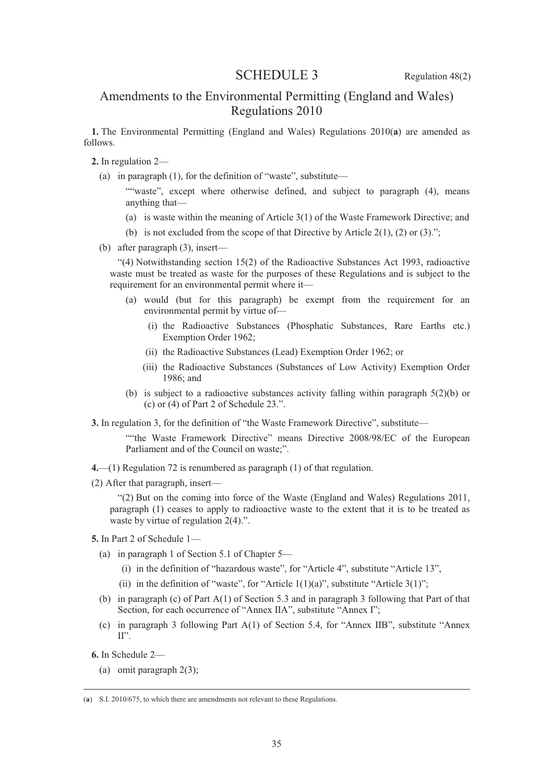# SCHEDULE 3 Regulation 48(2)

# Amendments to the Environmental Permitting (England and Wales) Regulations 2010

**1.** The Environmental Permitting (England and Wales) Regulations 2010(**a**) are amended as follows.

- **2.** In regulation 2—
	- (a) in paragraph (1), for the definition of "waste", substitute—
		- ""waste", except where otherwise defined, and subject to paragraph (4), means anything that—
		- (a) is waste within the meaning of Article 3(1) of the Waste Framework Directive; and
		- (b) is not excluded from the scope of that Directive by Article 2(1), (2) or (3).";
	- (b) after paragraph (3), insert—

"(4) Notwithstanding section 15(2) of the Radioactive Substances Act 1993, radioactive waste must be treated as waste for the purposes of these Regulations and is subject to the requirement for an environmental permit where it—

- (a) would (but for this paragraph) be exempt from the requirement for an environmental permit by virtue of—
	- (i) the Radioactive Substances (Phosphatic Substances, Rare Earths etc.) Exemption Order 1962;
	- (ii) the Radioactive Substances (Lead) Exemption Order 1962; or
	- (iii) the Radioactive Substances (Substances of Low Activity) Exemption Order 1986; and
- (b) is subject to a radioactive substances activity falling within paragraph 5(2)(b) or (c) or (4) of Part 2 of Schedule 23.".
- **3.** In regulation 3, for the definition of "the Waste Framework Directive", substitute—

""the Waste Framework Directive" means Directive 2008/98/EC of the European Parliament and of the Council on waste;".

- **4.**—(1) Regulation 72 is renumbered as paragraph (1) of that regulation.
- (2) After that paragraph, insert—

"(2) But on the coming into force of the Waste (England and Wales) Regulations 2011, paragraph (1) ceases to apply to radioactive waste to the extent that it is to be treated as waste by virtue of regulation 2(4).".

- **5.** In Part 2 of Schedule 1—
	- (a) in paragraph 1 of Section 5.1 of Chapter 5—
		- (i) in the definition of "hazardous waste", for "Article 4", substitute "Article 13",
		- (ii) in the definition of "waste", for "Article  $1(1)(a)$ ", substitute "Article  $3(1)$ ";
	- (b) in paragraph (c) of Part A(1) of Section 5.3 and in paragraph 3 following that Part of that Section, for each occurrence of "Annex IIA", substitute "Annex I";
	- (c) in paragraph 3 following Part A(1) of Section 5.4, for "Annex IIB", substitute "Annex  $II"$
- **6.** In Schedule 2—
	- (a) omit paragraph 2(3);

 <sup>(</sup>**a**) S.I. 2010/675, to which there are amendments not relevant to these Regulations.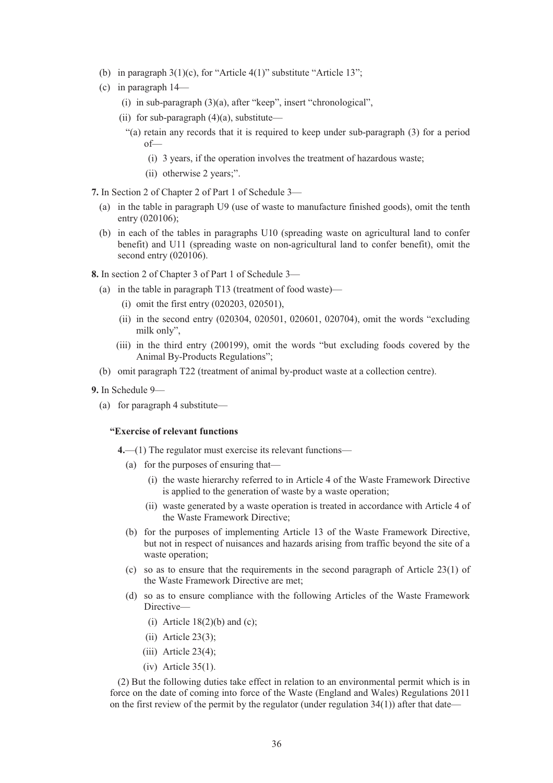- (b) in paragraph  $3(1)(c)$ , for "Article  $4(1)$ " substitute "Article 13";
- (c) in paragraph 14—
	- (i) in sub-paragraph (3)(a), after "keep", insert "chronological",
	- (ii) for sub-paragraph  $(4)(a)$ , substitute—
		- "(a) retain any records that it is required to keep under sub-paragraph (3) for a period of—
			- (i) 3 years, if the operation involves the treatment of hazardous waste;
			- (ii) otherwise 2 years;".
- **7.** In Section 2 of Chapter 2 of Part 1 of Schedule 3—
	- (a) in the table in paragraph U9 (use of waste to manufacture finished goods), omit the tenth entry (020106);
	- (b) in each of the tables in paragraphs U10 (spreading waste on agricultural land to confer benefit) and U11 (spreading waste on non-agricultural land to confer benefit), omit the second entry (020106).
- **8.** In section 2 of Chapter 3 of Part 1 of Schedule 3—
	- (a) in the table in paragraph T13 (treatment of food waste)—
		- (i) omit the first entry (020203, 020501),
		- (ii) in the second entry (020304, 020501, 020601, 020704), omit the words "excluding milk only",
		- (iii) in the third entry (200199), omit the words "but excluding foods covered by the Animal By-Products Regulations";
	- (b) omit paragraph T22 (treatment of animal by-product waste at a collection centre).
- **9.** In Schedule 9—
	- (a) for paragraph 4 substitute—

#### **"Exercise of relevant functions**

- **4.**—(1) The regulator must exercise its relevant functions—
	- (a) for the purposes of ensuring that—
		- (i) the waste hierarchy referred to in Article 4 of the Waste Framework Directive is applied to the generation of waste by a waste operation;
		- (ii) waste generated by a waste operation is treated in accordance with Article 4 of the Waste Framework Directive;
	- (b) for the purposes of implementing Article 13 of the Waste Framework Directive, but not in respect of nuisances and hazards arising from traffic beyond the site of a waste operation;
	- (c) so as to ensure that the requirements in the second paragraph of Article 23(1) of the Waste Framework Directive are met;
	- (d) so as to ensure compliance with the following Articles of the Waste Framework Directive—
		- (i) Article  $18(2)(b)$  and (c);
		- (ii) Article 23(3);
		- $(iii)$  Article 23(4);
		- (iv) Article 35(1).

(2) But the following duties take effect in relation to an environmental permit which is in force on the date of coming into force of the Waste (England and Wales) Regulations 2011 on the first review of the permit by the regulator (under regulation  $34(1)$ ) after that date—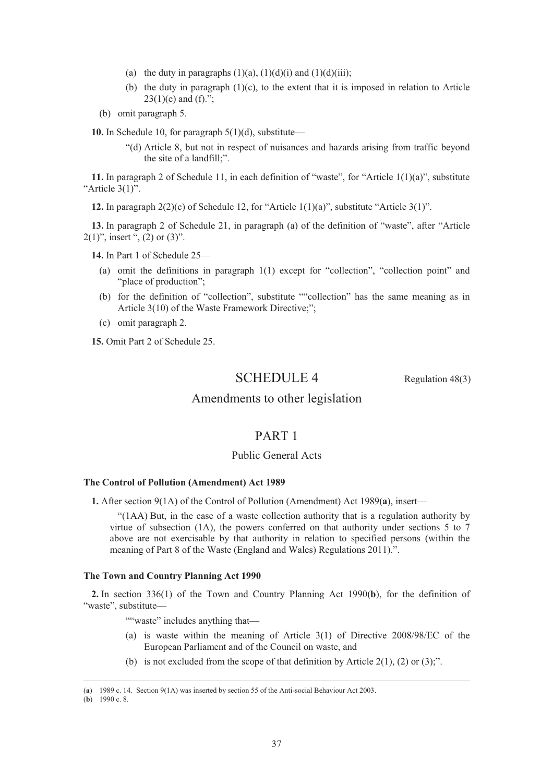- (a) the duty in paragraphs  $(1)(a)$ ,  $(1)(d)(i)$  and  $(1)(d)(iii)$ ;
- (b) the duty in paragraph  $(1)(c)$ , to the extent that it is imposed in relation to Article  $23(1)(e)$  and  $(f)$ .":
- (b) omit paragraph 5.

**10.** In Schedule 10, for paragraph 5(1)(d), substitute—

"(d) Article 8, but not in respect of nuisances and hazards arising from traffic beyond the site of a landfill;".

**11.** In paragraph 2 of Schedule 11, in each definition of "waste", for "Article 1(1)(a)", substitute "Article 3(1)".

**12.** In paragraph  $2(2)(c)$  of Schedule 12, for "Article  $1(1)(a)$ ", substitute "Article  $3(1)$ ".

**13.** In paragraph 2 of Schedule 21, in paragraph (a) of the definition of "waste", after "Article  $2(1)$ ", insert ",  $(2)$  or  $(3)$ ".

**14.** In Part 1 of Schedule 25—

- (a) omit the definitions in paragraph 1(1) except for "collection", "collection point" and "place of production";
- (b) for the definition of "collection", substitute ""collection" has the same meaning as in Article 3(10) of the Waste Framework Directive;";
- (c) omit paragraph 2.

**15.** Omit Part 2 of Schedule 25.

# SCHEDULE 4 Regulation 48(3)

# Amendments to other legislation

# PART 1

# Public General Acts

### **The Control of Pollution (Amendment) Act 1989**

**1.** After section 9(1A) of the Control of Pollution (Amendment) Act 1989(**a**), insert—

"(1AA) But, in the case of a waste collection authority that is a regulation authority by virtue of subsection (1A), the powers conferred on that authority under sections 5 to 7 above are not exercisable by that authority in relation to specified persons (within the meaning of Part 8 of the Waste (England and Wales) Regulations 2011).".

#### **The Town and Country Planning Act 1990**

**2.** In section 336(1) of the Town and Country Planning Act 1990(**b**), for the definition of "waste", substitute—

""waste" includes anything that-

- (a) is waste within the meaning of Article 3(1) of Directive 2008/98/EC of the European Parliament and of the Council on waste, and
- (b) is not excluded from the scope of that definition by Article 2(1), (2) or (3);".

(**b**) 1990 c. 8.

 <sup>(</sup>**a**) 1989 c. 14. Section 9(1A) was inserted by section 55 of the Anti-social Behaviour Act 2003.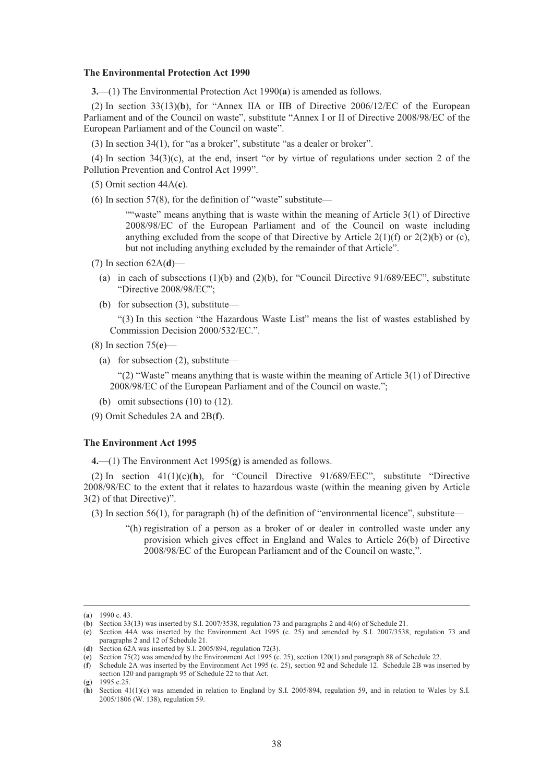#### **The Environmental Protection Act 1990**

**3.**—(1) The Environmental Protection Act 1990(**a**) is amended as follows.

(2) In section 33(13)(**b**), for "Annex IIA or IIB of Directive 2006/12/EC of the European Parliament and of the Council on waste", substitute "Annex I or II of Directive 2008/98/EC of the European Parliament and of the Council on waste".

(3) In section 34(1), for "as a broker", substitute "as a dealer or broker".

(4) In section 34(3)(c), at the end, insert "or by virtue of regulations under section 2 of the Pollution Prevention and Control Act 1999".

(5) Omit section 44A(**c**).

 $(6)$  In section 57(8), for the definition of "waste" substitute—

""waste" means anything that is waste within the meaning of Article 3(1) of Directive 2008/98/EC of the European Parliament and of the Council on waste including anything excluded from the scope of that Directive by Article  $2(1)(f)$  or  $2(2)(b)$  or (c), but not including anything excluded by the remainder of that Article".

- (7) In section 62A(**d**)—
	- (a) in each of subsections  $(1)(b)$  and  $(2)(b)$ , for "Council Directive 91/689/EEC", substitute "Directive 2008/98/EC";
	- (b) for subsection (3), substitute—

"(3) In this section "the Hazardous Waste List" means the list of wastes established by Commission Decision 2000/532/EC.".

- (8) In section 75(**e**)—
	- (a) for subsection (2), substitute—

"(2) "Waste" means anything that is waste within the meaning of Article  $3(1)$  of Directive 2008/98/EC of the European Parliament and of the Council on waste.";

(b) omit subsections (10) to (12).

(9) Omit Schedules 2A and 2B(**f**).

### **The Environment Act 1995**

**4.**—(1) The Environment Act 1995(**g**) is amended as follows.

(2) In section 41(1)(c)(**h**), for "Council Directive 91/689/EEC", substitute "Directive 2008/98/EC to the extent that it relates to hazardous waste (within the meaning given by Article 3(2) of that Directive)".

(3) In section 56(1), for paragraph (h) of the definition of "environmental licence", substitute—

"(h) registration of a person as a broker of or dealer in controlled waste under any provision which gives effect in England and Wales to Article 26(b) of Directive 2008/98/EC of the European Parliament and of the Council on waste,".

 <sup>(</sup>**a**) 1990 c. 43.

<sup>(</sup>**b**) Section 33(13) was inserted by S.I. 2007/3538, regulation 73 and paragraphs 2 and 4(6) of Schedule 21.

<sup>(</sup>**c**) Section 44A was inserted by the Environment Act 1995 (c. 25) and amended by S.I. 2007/3538, regulation 73 and paragraphs 2 and 12 of Schedule 21.

<sup>(</sup>**d**) Section 62A was inserted by S.I. 2005/894, regulation 72(3).

<sup>(</sup>**e**) Section 75(2) was amended by the Environment Act 1995 (c. 25), section 120(1) and paragraph 88 of Schedule 22.

<sup>(</sup>**f**) Schedule 2A was inserted by the Environment Act 1995 (c. 25), section 92 and Schedule 12. Schedule 2B was inserted by section 120 and paragraph 95 of Schedule 22 to that Act.

<sup>(</sup>**g**) 1995 c.25.

<sup>(</sup>**h**) Section 41(1)(c) was amended in relation to England by S.I. 2005/894, regulation 59, and in relation to Wales by S.I. 2005/1806 (W. 138), regulation 59.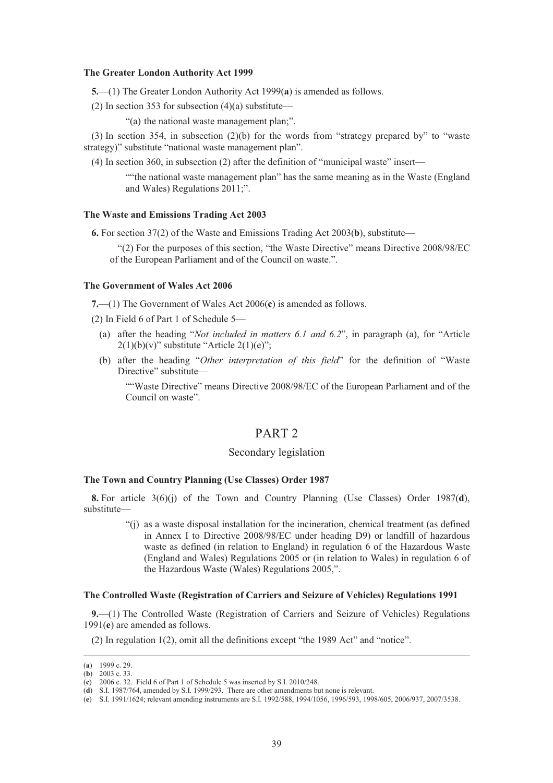#### **The Greater London Authority Act 1999**

**5.**—(1) The Greater London Authority Act 1999(**a**) is amended as follows.

(2) In section 353 for subsection  $(4)(a)$  substitute—

"(a) the national waste management plan;".

(3) In section 354, in subsection (2)(b) for the words from "strategy prepared by" to "waste strategy)" substitute "national waste management plan".

(4) In section 360, in subsection (2) after the definition of "municipal waste" insert—

""the national waste management plan" has the same meaning as in the Waste (England and Wales) Regulations 2011;".

### **The Waste and Emissions Trading Act 2003**

**6.** For section 37(2) of the Waste and Emissions Trading Act 2003(**b**), substitute—

"(2) For the purposes of this section, "the Waste Directive" means Directive 2008/98/EC of the European Parliament and of the Council on waste.".

#### **The Government of Wales Act 2006**

**7.**—(1) The Government of Wales Act 2006(**c**) is amended as follows.

(2) In Field 6 of Part 1 of Schedule 5—

- (a) after the heading "*Not included in matters 6.1 and 6.2*", in paragraph (a), for "Article  $2(1)(b)(v)$ " substitute "Article  $2(1)(e)$ ";
- (b) after the heading "*Other interpretation of this field*" for the definition of "Waste Directive" substitute—

""Waste Directive" means Directive 2008/98/EC of the European Parliament and of the Council on waste".

# PART 2

### Secondary legislation

#### **The Town and Country Planning (Use Classes) Order 1987**

**8.** For article 3(6)(j) of the Town and Country Planning (Use Classes) Order 1987(**d**), substitute—

> "(j) as a waste disposal installation for the incineration, chemical treatment (as defined in Annex I to Directive 2008/98/EC under heading D9) or landfill of hazardous waste as defined (in relation to England) in regulation 6 of the Hazardous Waste (England and Wales) Regulations 2005 or (in relation to Wales) in regulation 6 of the Hazardous Waste (Wales) Regulations 2005,".

#### **The Controlled Waste (Registration of Carriers and Seizure of Vehicles) Regulations 1991**

**9.**—(1) The Controlled Waste (Registration of Carriers and Seizure of Vehicles) Regulations 1991(**e**) are amended as follows.

(2) In regulation 1(2), omit all the definitions except "the 1989 Act" and "notice".

 <sup>(</sup>**a**) 1999 c. 29.

<sup>(</sup>**b**) 2003 c. 33.

<sup>(</sup>**c**) 2006 c. 32. Field 6 of Part 1 of Schedule 5 was inserted by S.I. 2010/248. (**d**) S.I. 1987/764, amended by S.I. 1999/293. There are other amendments but none is relevant.

<sup>(</sup>**e**) S.I. 1991/1624; relevant amending instruments are S.I. 1992/588, 1994/1056, 1996/593, 1998/605, 2006/937, 2007/3538.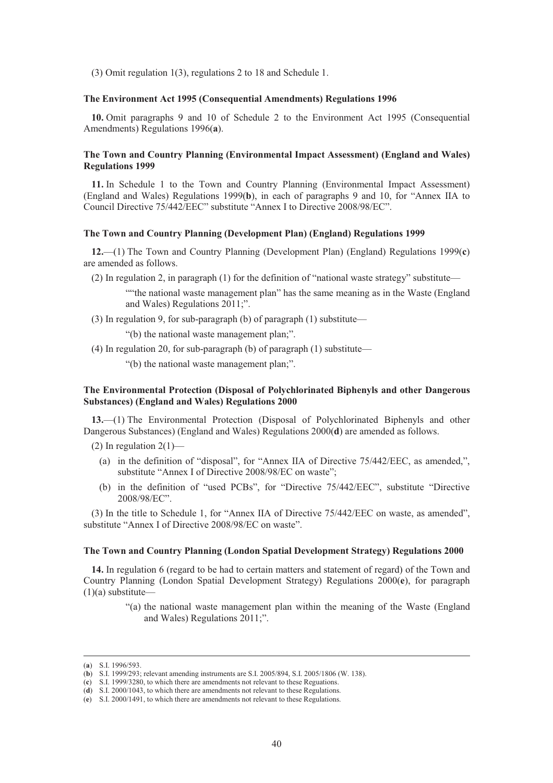(3) Omit regulation 1(3), regulations 2 to 18 and Schedule 1.

### **The Environment Act 1995 (Consequential Amendments) Regulations 1996**

**10.** Omit paragraphs 9 and 10 of Schedule 2 to the Environment Act 1995 (Consequential Amendments) Regulations 1996(**a**).

### **The Town and Country Planning (Environmental Impact Assessment) (England and Wales) Regulations 1999**

**11.** In Schedule 1 to the Town and Country Planning (Environmental Impact Assessment) (England and Wales) Regulations 1999(**b**), in each of paragraphs 9 and 10, for "Annex IIA to Council Directive 75/442/EEC" substitute "Annex I to Directive 2008/98/EC".

#### **The Town and Country Planning (Development Plan) (England) Regulations 1999**

**12.**—(1) The Town and Country Planning (Development Plan) (England) Regulations 1999(**c**) are amended as follows.

(2) In regulation 2, in paragraph (1) for the definition of "national waste strategy" substitute—

""the national waste management plan" has the same meaning as in the Waste (England and Wales) Regulations 2011;".

(3) In regulation 9, for sub-paragraph (b) of paragraph (1) substitute—

"(b) the national waste management plan;".

(4) In regulation 20, for sub-paragraph (b) of paragraph (1) substitute—

"(b) the national waste management plan;".

### **The Environmental Protection (Disposal of Polychlorinated Biphenyls and other Dangerous Substances) (England and Wales) Regulations 2000**

**13.**—(1) The Environmental Protection (Disposal of Polychlorinated Biphenyls and other Dangerous Substances) (England and Wales) Regulations 2000(**d**) are amended as follows.

(2) In regulation  $2(1)$ —

- (a) in the definition of "disposal", for "Annex IIA of Directive 75/442/EEC, as amended,", substitute "Annex I of Directive 2008/98/EC on waste";
- (b) in the definition of "used PCBs", for "Directive 75/442/EEC", substitute "Directive 2008/98/EC".

(3) In the title to Schedule 1, for "Annex IIA of Directive 75/442/EEC on waste, as amended", substitute "Annex I of Directive 2008/98/EC on waste".

### **The Town and Country Planning (London Spatial Development Strategy) Regulations 2000**

**14.** In regulation 6 (regard to be had to certain matters and statement of regard) of the Town and Country Planning (London Spatial Development Strategy) Regulations 2000(**e**), for paragraph  $(1)(a)$  substitute–

> "(a) the national waste management plan within the meaning of the Waste (England and Wales) Regulations 2011;".

 <sup>(</sup>**a**) S.I. 1996/593.

<sup>(</sup>**b**) S.I. 1999/293; relevant amending instruments are S.I. 2005/894, S.I. 2005/1806 (W. 138).

<sup>(</sup>**c**) S.I. 1999/3280, to which there are amendments not relevant to these Reguations.

<sup>(</sup>**d**) S.I. 2000/1043, to which there are amendments not relevant to these Regulations.

<sup>(</sup>**e**) S.I. 2000/1491, to which there are amendments not relevant to these Regulations.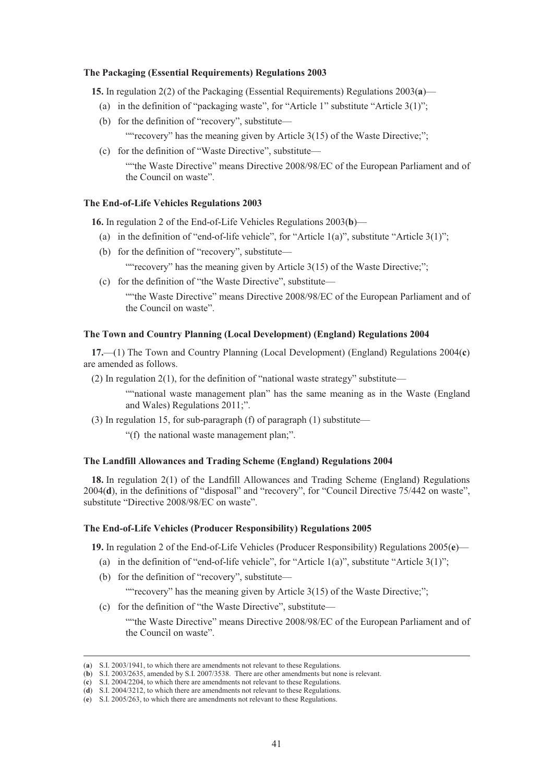#### **The Packaging (Essential Requirements) Regulations 2003**

**15.** In regulation 2(2) of the Packaging (Essential Requirements) Regulations 2003(**a**)—

- (a) in the definition of "packaging waste", for "Article 1" substitute "Article 3(1)";
- (b) for the definition of "recovery", substitute— ""recovery" has the meaning given by Article 3(15) of the Waste Directive;";
- (c) for the definition of "Waste Directive", substitute— ""the Waste Directive" means Directive 2008/98/EC of the European Parliament and of the Council on waste".

#### **The End-of-Life Vehicles Regulations 2003**

**16.** In regulation 2 of the End-of-Life Vehicles Regulations 2003(**b**)—

- (a) in the definition of "end-of-life vehicle", for "Article  $1(a)$ ", substitute "Article  $3(1)$ ";
- (b) for the definition of "recovery", substitute—

"" recovery" has the meaning given by Article 3(15) of the Waste Directive;";

(c) for the definition of "the Waste Directive", substitute—

""the Waste Directive" means Directive 2008/98/EC of the European Parliament and of the Council on waste".

### **The Town and Country Planning (Local Development) (England) Regulations 2004**

**17.**—(1) The Town and Country Planning (Local Development) (England) Regulations 2004(**c**) are amended as follows.

(2) In regulation  $2(1)$ , for the definition of "national waste strategy" substitute—

""national waste management plan" has the same meaning as in the Waste (England and Wales) Regulations 2011;".

(3) In regulation 15, for sub-paragraph (f) of paragraph (1) substitute—

"(f) the national waste management plan;".

#### **The Landfill Allowances and Trading Scheme (England) Regulations 2004**

**18.** In regulation 2(1) of the Landfill Allowances and Trading Scheme (England) Regulations 2004(**d**), in the definitions of "disposal" and "recovery", for "Council Directive 75/442 on waste", substitute "Directive 2008/98/EC on waste".

#### **The End-of-Life Vehicles (Producer Responsibility) Regulations 2005**

**19.** In regulation 2 of the End-of-Life Vehicles (Producer Responsibility) Regulations 2005(**e**)—

- (a) in the definition of "end-of-life vehicle", for "Article 1(a)", substitute "Article 3(1)";
- (b) for the definition of "recovery", substitute—

""recovery" has the meaning given by Article 3(15) of the Waste Directive;";

(c) for the definition of "the Waste Directive", substitute—

""the Waste Directive" means Directive 2008/98/EC of the European Parliament and of the Council on waste".

 <sup>(</sup>**a**) S.I. 2003/1941, to which there are amendments not relevant to these Regulations.

<sup>(</sup>**b**) S.I. 2003/2635, amended by S.I. 2007/3538. There are other amendments but none is relevant.

<sup>(</sup>**c**) S.I. 2004/2204, to which there are amendments not relevant to these Regulations.

<sup>(</sup>**d**) S.I. 2004/3212, to which there are amendments not relevant to these Regulations.

<sup>(</sup>**e**) S.I. 2005/263, to which there are amendments not relevant to these Regulations.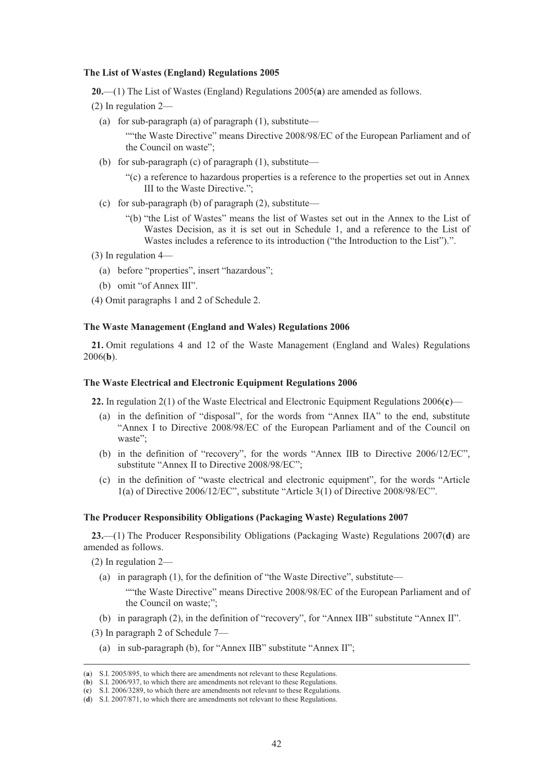#### **The List of Wastes (England) Regulations 2005**

**20.**—(1) The List of Wastes (England) Regulations 2005(**a**) are amended as follows.

- (2) In regulation 2—
	- (a) for sub-paragraph (a) of paragraph  $(1)$ , substitute—

""the Waste Directive" means Directive 2008/98/EC of the European Parliament and of the Council on waste";

- (b) for sub-paragraph (c) of paragraph (1), substitute—
	- "(c) a reference to hazardous properties is a reference to the properties set out in Annex III to the Waste Directive.";
- (c) for sub-paragraph (b) of paragraph (2), substitute—
	- "(b) "the List of Wastes" means the list of Wastes set out in the Annex to the List of Wastes Decision, as it is set out in Schedule 1, and a reference to the List of Wastes includes a reference to its introduction ("the Introduction to the List").".
- (3) In regulation 4—
	- (a) before "properties", insert "hazardous";
	- (b) omit "of Annex III".
- (4) Omit paragraphs 1 and 2 of Schedule 2.

### **The Waste Management (England and Wales) Regulations 2006**

**21.** Omit regulations 4 and 12 of the Waste Management (England and Wales) Regulations 2006(**b**).

### **The Waste Electrical and Electronic Equipment Regulations 2006**

**22.** In regulation 2(1) of the Waste Electrical and Electronic Equipment Regulations 2006(**c**)—

- (a) in the definition of "disposal", for the words from "Annex IIA" to the end, substitute "Annex I to Directive 2008/98/EC of the European Parliament and of the Council on waste";
- (b) in the definition of "recovery", for the words "Annex IIB to Directive 2006/12/EC", substitute "Annex II to Directive 2008/98/EC";
- (c) in the definition of "waste electrical and electronic equipment", for the words "Article 1(a) of Directive 2006/12/EC", substitute "Article 3(1) of Directive 2008/98/EC".

### **The Producer Responsibility Obligations (Packaging Waste) Regulations 2007**

**23.**—(1) The Producer Responsibility Obligations (Packaging Waste) Regulations 2007(**d**) are amended as follows.

(2) In regulation 2—

(a) in paragraph (1), for the definition of "the Waste Directive", substitute—

""the Waste Directive" means Directive 2008/98/EC of the European Parliament and of the Council on waste;";

(b) in paragraph (2), in the definition of "recovery", for "Annex IIB" substitute "Annex II".

- (3) In paragraph 2 of Schedule 7—
- (a) in sub-paragraph (b), for "Annex IIB" substitute "Annex II";

 <sup>(</sup>**a**) S.I. 2005/895, to which there are amendments not relevant to these Regulations.

<sup>(</sup>**b**) S.I. 2006/937, to which there are amendments not relevant to these Regulations.

<sup>(</sup>**c**) S.I. 2006/3289, to which there are amendments not relevant to these Regulations.

<sup>(</sup>**d**) S.I. 2007/871, to which there are amendments not relevant to these Regulations.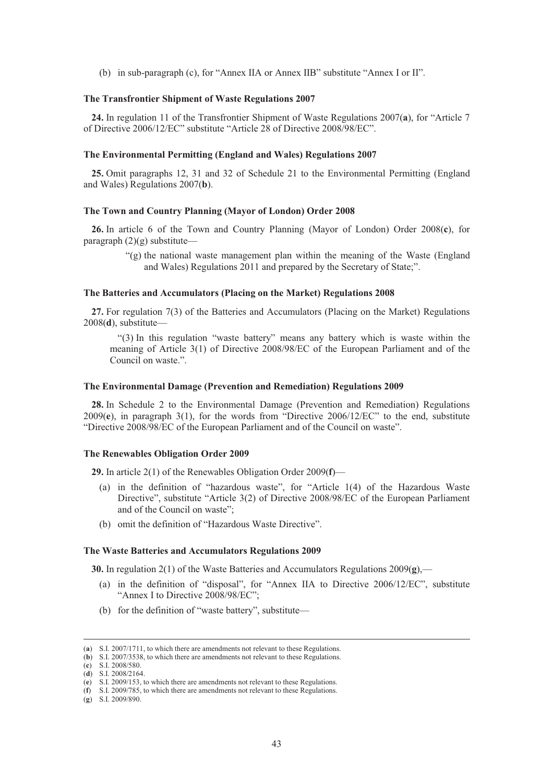(b) in sub-paragraph (c), for "Annex IIA or Annex IIB" substitute "Annex I or II".

#### **The Transfrontier Shipment of Waste Regulations 2007**

**24.** In regulation 11 of the Transfrontier Shipment of Waste Regulations 2007(**a**), for "Article 7 of Directive 2006/12/EC" substitute "Article 28 of Directive 2008/98/EC".

#### **The Environmental Permitting (England and Wales) Regulations 2007**

**25.** Omit paragraphs 12, 31 and 32 of Schedule 21 to the Environmental Permitting (England and Wales) Regulations 2007(**b**).

### **The Town and Country Planning (Mayor of London) Order 2008**

**26.** In article 6 of the Town and Country Planning (Mayor of London) Order 2008(**c**), for paragraph  $(2)(g)$  substitute—

> "(g) the national waste management plan within the meaning of the Waste (England and Wales) Regulations 2011 and prepared by the Secretary of State;".

### **The Batteries and Accumulators (Placing on the Market) Regulations 2008**

**27.** For regulation 7(3) of the Batteries and Accumulators (Placing on the Market) Regulations 2008(**d**), substitute—

"(3) In this regulation "waste battery" means any battery which is waste within the meaning of Article 3(1) of Directive 2008/98/EC of the European Parliament and of the Council on waste.".

#### **The Environmental Damage (Prevention and Remediation) Regulations 2009**

**28.** In Schedule 2 to the Environmental Damage (Prevention and Remediation) Regulations 2009(**e**), in paragraph 3(1), for the words from "Directive 2006/12/EC" to the end, substitute "Directive 2008/98/EC of the European Parliament and of the Council on waste".

### **The Renewables Obligation Order 2009**

**29.** In article 2(1) of the Renewables Obligation Order 2009(**f**)—

- (a) in the definition of "hazardous waste", for "Article 1(4) of the Hazardous Waste Directive", substitute "Article 3(2) of Directive 2008/98/EC of the European Parliament and of the Council on waste";
- (b) omit the definition of "Hazardous Waste Directive".

#### **The Waste Batteries and Accumulators Regulations 2009**

**30.** In regulation 2(1) of the Waste Batteries and Accumulators Regulations 2009(**g**),—

- (a) in the definition of "disposal", for "Annex IIA to Directive 2006/12/EC", substitute "Annex I to Directive 2008/98/EC";
- (b) for the definition of "waste battery", substitute—

 <sup>(</sup>**a**) S.I. 2007/1711, to which there are amendments not relevant to these Regulations.

<sup>(</sup>**b**) S.I. 2007/3538, to which there are amendments not relevant to these Regulations.

<sup>(</sup>**c**) S.I. 2008/580. (**d**) S.I. 2008/2164.

<sup>(</sup>**e**) S.I. 2009/153, to which there are amendments not relevant to these Regulations.

<sup>(</sup>**f**) S.I. 2009/785, to which there are amendments not relevant to these Regulations.

<sup>(</sup>**g**) S.I. 2009/890.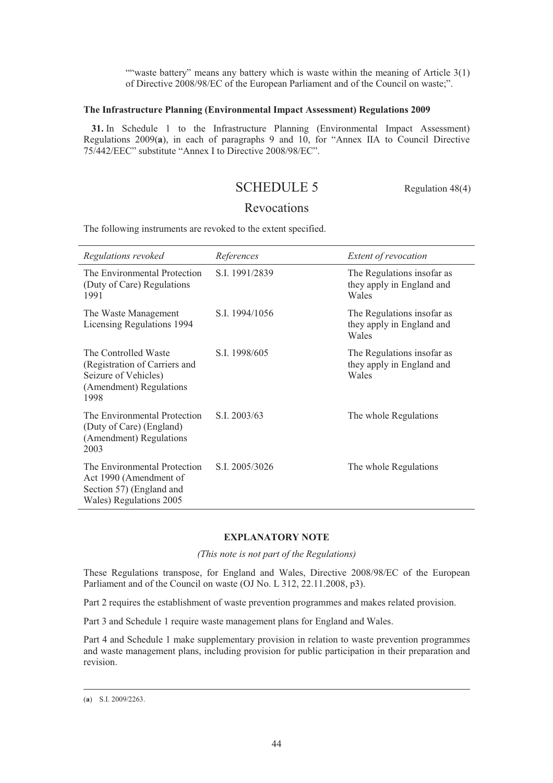""waste battery" means any battery which is waste within the meaning of Article 3(1) of Directive 2008/98/EC of the European Parliament and of the Council on waste;".

# **The Infrastructure Planning (Environmental Impact Assessment) Regulations 2009**

**31.** In Schedule 1 to the Infrastructure Planning (Environmental Impact Assessment) Regulations 2009(**a**), in each of paragraphs 9 and 10, for "Annex IIA to Council Directive 75/442/EEC" substitute "Annex I to Directive 2008/98/EC".

# SCHEDULE 5 Regulation 48(4)

# Revocations

The following instruments are revoked to the extent specified.

| Regulations revoked                                                                                              | References     | Extent of revocation                                             |
|------------------------------------------------------------------------------------------------------------------|----------------|------------------------------------------------------------------|
| The Environmental Protection<br>(Duty of Care) Regulations<br>1991                                               | S.I. 1991/2839 | The Regulations insofar as<br>they apply in England and<br>Wales |
| The Waste Management<br>Licensing Regulations 1994                                                               | S.I. 1994/1056 | The Regulations insofar as<br>they apply in England and<br>Wales |
| The Controlled Waste<br>(Registration of Carriers and<br>Seizure of Vehicles)<br>(Amendment) Regulations<br>1998 | S.I. 1998/605  | The Regulations insofar as<br>they apply in England and<br>Wales |
| The Environmental Protection<br>(Duty of Care) (England)<br>(Amendment) Regulations<br>2003                      | S.I. 2003/63   | The whole Regulations                                            |
| The Environmental Protection<br>Act 1990 (Amendment of<br>Section 57) (England and<br>Wales) Regulations 2005    | S.I. 2005/3026 | The whole Regulations                                            |

# **EXPLANATORY NOTE**

*(This note is not part of the Regulations)* 

These Regulations transpose, for England and Wales, Directive 2008/98/EC of the European Parliament and of the Council on waste (OJ No. L 312, 22.11.2008, p3).

Part 2 requires the establishment of waste prevention programmes and makes related provision.

Part 3 and Schedule 1 require waste management plans for England and Wales.

Part 4 and Schedule 1 make supplementary provision in relation to waste prevention programmes and waste management plans, including provision for public participation in their preparation and revision.

 <sup>(</sup>**a**) S.I. 2009/2263.